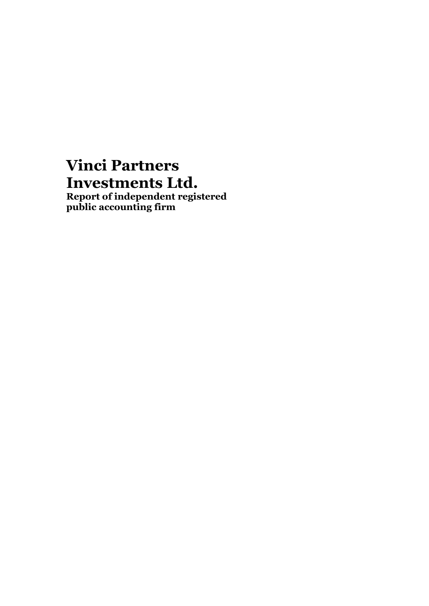**Report of independent registered public accounting firm**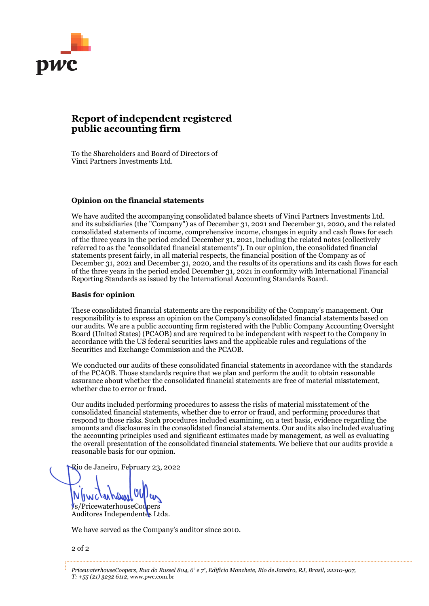

# **Report of independent registered public accounting firm**

To the Shareholders and Board of Directors of Vinci Partners Investments Ltd.

### **Opinion on the financial statements**

We have audited the accompanying consolidated balance sheets of Vinci Partners Investments Ltd. and its subsidiaries (the "Company") as of December 31, 2021 and December 31, 2020, and the related consolidated statements of income, comprehensive income, changes in equity and cash flows for each of the three years in the period ended December 31, 2021, including the related notes (collectively referred to as the "consolidated financial statements"). In our opinion, the consolidated financial statements present fairly, in all material respects, the financial position of the Company as of December 31, 2021 and December 31, 2020, and the results of its operations and its cash flows for each of the three years in the period ended December 31, 2021 in conformity with International Financial Reporting Standards as issued by the International Accounting Standards Board.

### **Basis for opinion**

These consolidated financial statements are the responsibility of the Company's management. Our responsibility is to express an opinion on the Company's consolidated financial statements based on our audits. We are a public accounting firm registered with the Public Company Accounting Oversight Board (United States) (PCAOB) and are required to be independent with respect to the Company in accordance with the US federal securities laws and the applicable rules and regulations of the Securities and Exchange Commission and the PCAOB.

We conducted our audits of these consolidated financial statements in accordance with the standards of the PCAOB. Those standards require that we plan and perform the audit to obtain reasonable assurance about whether the consolidated financial statements are free of material misstatement, whether due to error or fraud.

Our audits included performing procedures to assess the risks of material misstatement of the consolidated financial statements, whether due to error or fraud, and performing procedures that respond to those risks. Such procedures included examining, on a test basis, evidence regarding the amounts and disclosures in the consolidated financial statements. Our audits also included evaluating the accounting principles used and significant estimates made by management, as well as evaluating the overall presentation of the consolidated financial statements. We believe that our audits provide a reasonable basis for our opinion.

Rio de Janeiro, February 23, 2022

NIWCLarham /s/PricewaterhouseCoopers

Auditores Independentes Ltda.

We have served as the Company's auditor since 2010.

2 of 2

*PricewaterhouseCoopers, Rua do Russel 804, 6<sup>º</sup> e 7 º , Edifício Manchete, Rio de Janeiro, RJ, Brasil, 22210-907, T: +55 (21) 3232 6112,* www.pwc.com.br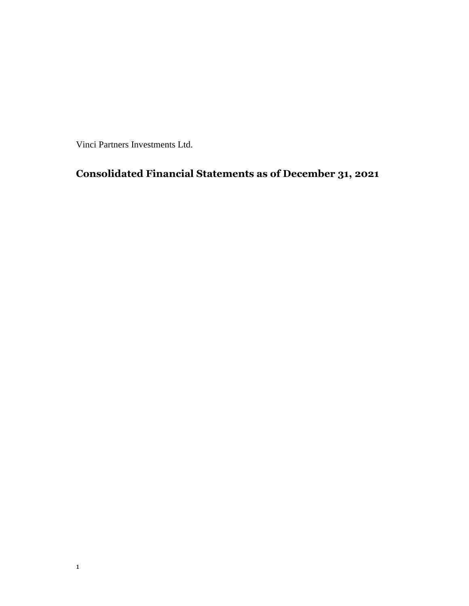# **Consolidated Financial Statements as of December 31, 2021**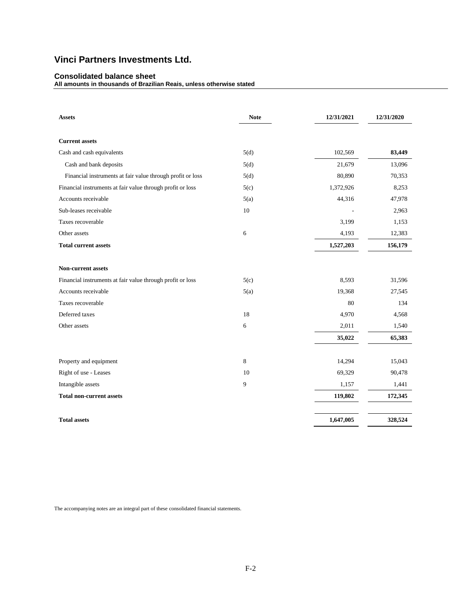### **Consolidated balance sheet**

**All amounts in thousands of Brazilian Reais, unless otherwise stated**

| <b>Assets</b>                                              | <b>Note</b> | 12/31/2021 | 12/31/2020 |
|------------------------------------------------------------|-------------|------------|------------|
|                                                            |             |            |            |
| <b>Current assets</b>                                      |             |            |            |
| Cash and cash equivalents                                  | 5(d)        | 102,569    | 83,449     |
| Cash and bank deposits                                     | 5(d)        | 21,679     | 13,096     |
| Financial instruments at fair value through profit or loss | 5(d)        | 80,890     | 70,353     |
| Financial instruments at fair value through profit or loss | 5(c)        | 1,372,926  | 8,253      |
| Accounts receivable                                        | 5(a)        | 44,316     | 47,978     |
| Sub-leases receivable                                      | 10          |            | 2,963      |
| Taxes recoverable                                          |             | 3,199      | 1,153      |
| Other assets                                               | 6           | 4,193      | 12,383     |
| <b>Total current assets</b>                                |             | 1,527,203  | 156,179    |
| <b>Non-current assets</b>                                  |             |            |            |
| Financial instruments at fair value through profit or loss | 5(c)        | 8,593      | 31,596     |
| Accounts receivable                                        | 5(a)        | 19,368     | 27,545     |
| Taxes recoverable                                          |             | 80         | 134        |
| Deferred taxes                                             | 18          | 4,970      | 4,568      |
| Other assets                                               | 6           | 2,011      | 1,540      |
|                                                            |             | 35,022     | 65,383     |
| Property and equipment                                     | 8           | 14,294     | 15,043     |
| Right of use - Leases                                      | 10          | 69,329     | 90,478     |
| Intangible assets                                          | 9           | 1,157      | 1,441      |
| <b>Total non-current assets</b>                            |             | 119,802    | 172,345    |
| <b>Total assets</b>                                        |             | 1,647,005  | 328,524    |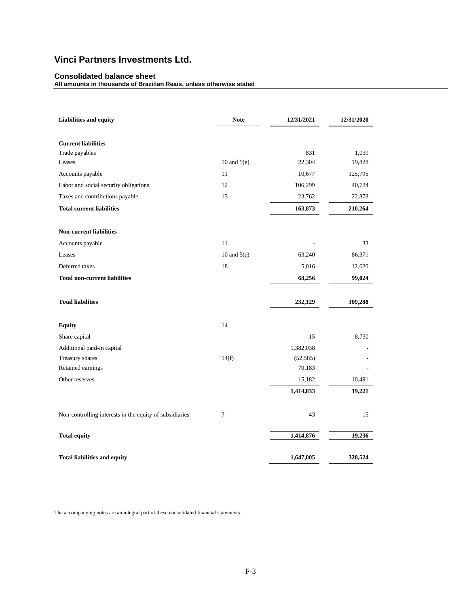### **Consolidated balance sheet**

**All amounts in thousands of Brazilian Reais, unless otherwise stated**

| <b>Liabilities and equity</b>                           | <b>Note</b>   | 12/31/2021    | 12/31/2020      |
|---------------------------------------------------------|---------------|---------------|-----------------|
|                                                         |               |               |                 |
| <b>Current liabilities</b>                              |               |               |                 |
| Trade payables<br>Leases                                | 10 and $5(e)$ | 831<br>22,304 | 1,039<br>19,828 |
|                                                         | 11            |               |                 |
| Accounts payable                                        |               | 10,677        | 125,795         |
| Labor and social security obligations                   | 12            | 106,299       | 40,724          |
| Taxes and contributions payable                         | 13            | 23,762        | 22,878          |
| <b>Total current liabilities</b>                        |               | 163,873       | 210,264         |
| <b>Non-current liabilities</b>                          |               |               |                 |
| Accounts payable                                        | 11            |               | 33              |
| Leases                                                  | 10 and $5(e)$ | 63,240        | 86,371          |
| Deferred taxes                                          | 18            | 5,016         | 12,620          |
| <b>Total non-current liabilities</b>                    |               | 68,256        | 99,024          |
| <b>Total liabilities</b>                                |               | 232,129       | 309,288         |
|                                                         |               |               |                 |
| <b>Equity</b>                                           | 14            |               |                 |
| Share capital                                           |               | 15            | 8,730           |
| Additional paid-in capital                              |               | 1,382,038     |                 |
| Treasury shares                                         | 14(f)         | (52, 585)     |                 |
| Retained earnings                                       |               | 70,183        |                 |
| Other reserves                                          |               | 15,182        | 10,491          |
|                                                         |               | 1,414,833     | 19,221          |
| Non-controlling interests in the equity of subsidiaries | 7             | 43            | 15              |
| <b>Total equity</b>                                     |               | 1,414,876     | 19,236          |
| <b>Total liabilities and equity</b>                     |               | 1,647,005     | 328,524         |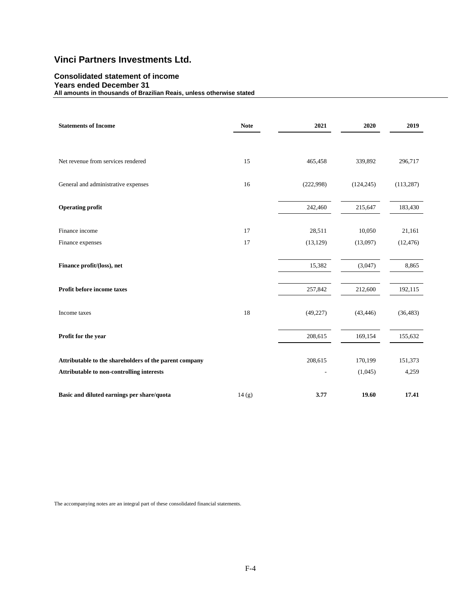### **Consolidated statement of income Years ended December 31**

**All amounts in thousands of Brazilian Reais, unless otherwise stated** 

| <b>Statements of Income</b>                            | <b>Note</b> | 2021      | 2020       | 2019       |
|--------------------------------------------------------|-------------|-----------|------------|------------|
|                                                        |             |           |            |            |
| Net revenue from services rendered                     | 15          | 465,458   | 339,892    | 296,717    |
| General and administrative expenses                    | 16          | (222,998) | (124, 245) | (113, 287) |
| <b>Operating profit</b>                                |             | 242,460   | 215,647    | 183,430    |
| Finance income                                         | 17          | 28,511    | 10,050     | 21,161     |
| Finance expenses                                       | 17          | (13, 129) | (13,097)   | (12, 476)  |
| Finance profit/(loss), net                             |             | 15,382    | (3,047)    | 8,865      |
| Profit before income taxes                             |             | 257,842   | 212,600    | 192,115    |
| Income taxes                                           | 18          | (49, 227) | (43, 446)  | (36, 483)  |
| Profit for the year                                    |             | 208,615   | 169,154    | 155,632    |
| Attributable to the shareholders of the parent company |             | 208,615   | 170,199    | 151,373    |
| Attributable to non-controlling interests              |             |           | (1,045)    | 4,259      |
| Basic and diluted earnings per share/quota             | 14(g)       | 3.77      | 19.60      | 17.41      |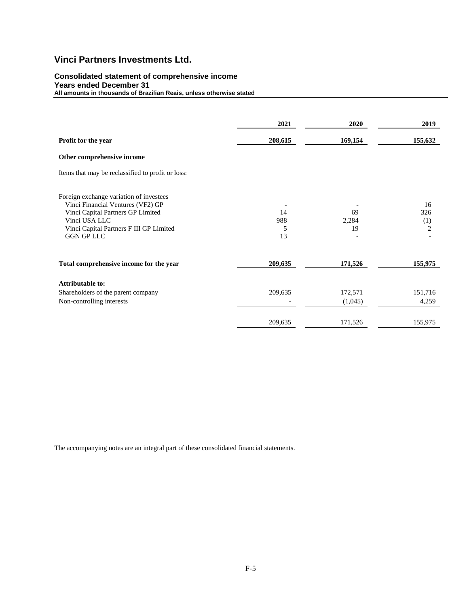### **Consolidated statement of comprehensive income Years ended December 31**

**All amounts in thousands of Brazilian Reais, unless otherwise stated** 

|                                                                                                                                                                                                    | 2021                 | <b>2020</b>       | 2019                               |
|----------------------------------------------------------------------------------------------------------------------------------------------------------------------------------------------------|----------------------|-------------------|------------------------------------|
| Profit for the year                                                                                                                                                                                | 208,615              | 169,154           | 155,632                            |
| Other comprehensive income                                                                                                                                                                         |                      |                   |                                    |
| Items that may be reclassified to profit or loss:                                                                                                                                                  |                      |                   |                                    |
| Foreign exchange variation of investees<br>Vinci Financial Ventures (VF2) GP<br>Vinci Capital Partners GP Limited<br>Vinci USA LLC<br>Vinci Capital Partners F III GP Limited<br><b>GGN GP LLC</b> | 14<br>988<br>5<br>13 | 69<br>2,284<br>19 | 16<br>326<br>(1)<br>$\overline{2}$ |
| Total comprehensive income for the year                                                                                                                                                            | 209,635              | 171,526           | 155,975                            |
| <b>Attributable to:</b>                                                                                                                                                                            |                      |                   |                                    |
| Shareholders of the parent company                                                                                                                                                                 | 209,635              | 172,571           | 151,716                            |
| Non-controlling interests                                                                                                                                                                          |                      | (1,045)           | 4,259                              |
|                                                                                                                                                                                                    | 209,635              | 171,526           | 155,975                            |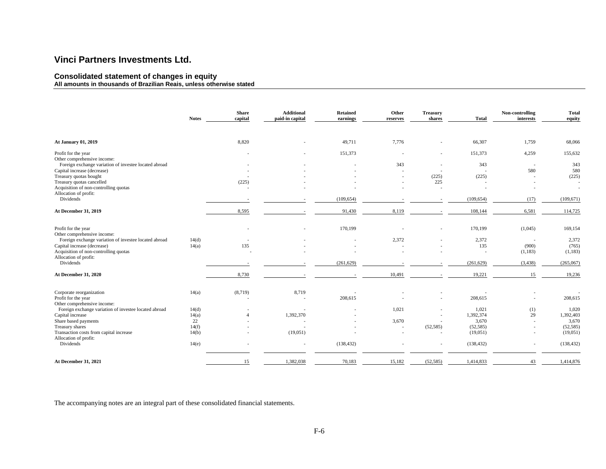#### **Consolidated statement of changes in equity All amounts in thousands of Brazilian Reais, unless otherwise stated**

|                                                                                      | <b>Notes</b>   | <b>Share</b><br>capital | <b>Additional</b><br>paid-in capital | <b>Retained</b><br>earnings | Other<br>reserves | <b>Treasury</b><br>shares | <b>Total</b> | Non-controlling<br>interests      | <b>Total</b><br>equity |
|--------------------------------------------------------------------------------------|----------------|-------------------------|--------------------------------------|-----------------------------|-------------------|---------------------------|--------------|-----------------------------------|------------------------|
|                                                                                      |                |                         |                                      |                             |                   |                           |              |                                   |                        |
| At January 01, 2019                                                                  |                | 8,820                   |                                      | 49,711                      | 7,776             |                           | 66,307       | 1,759                             | 68,066                 |
| Profit for the year<br>Other comprehensive income:                                   |                |                         |                                      | 151,373                     |                   | $\overline{\phantom{a}}$  | 151,373      | 4,259                             | 155,632                |
| Foreign exchange variation of investee located abroad<br>Capital increase (decrease) |                |                         |                                      |                             | 343               | $\overline{\phantom{a}}$  | 343          | $\overline{\phantom{a}}$<br>580   | 343<br>580             |
| Treasury quotas bought                                                               |                |                         |                                      |                             |                   | (225)                     | (225)        | $\sim$                            | (225)                  |
| Treasury quotas cancelled                                                            |                | (225)                   |                                      |                             |                   | 225                       |              |                                   |                        |
| Acquisition of non-controlling quotas                                                |                |                         |                                      |                             |                   | $\overline{a}$            |              |                                   | $\sim$                 |
| Allocation of profit:<br>Dividends                                                   |                |                         |                                      | (109, 654)                  |                   |                           | (109, 654)   | (17)                              | (109, 671)             |
| At December 31, 2019                                                                 |                | 8,595                   |                                      | 91,430                      | 8,119             |                           | 108,144      | 6,581                             | 114,725                |
| Profit for the year                                                                  |                |                         |                                      | 170,199                     |                   |                           | 170,199      | (1,045)                           | 169,154                |
| Other comprehensive income:                                                          |                |                         |                                      |                             |                   |                           |              |                                   |                        |
| Foreign exchange variation of investee located abroad<br>Capital increase (decrease) | 14(d)<br>14(a) | 135                     |                                      |                             | 2,372             |                           | 2,372<br>135 | $\overline{\phantom{a}}$<br>(900) | 2,372<br>(765)         |
| Acquisition of non-controlling quotas                                                |                |                         |                                      |                             |                   |                           |              | (1, 183)                          | (1, 183)               |
| Allocation of profit:                                                                |                |                         |                                      |                             |                   |                           |              |                                   |                        |
| Dividends                                                                            |                |                         |                                      | (261, 629)                  |                   |                           | (261, 629)   | (3, 438)                          | (265,067)              |
| At December 31, 2020                                                                 |                | 8,730                   |                                      |                             | 10,491            |                           | 19,221       | 15                                | 19,236                 |
| Corporate reorganization                                                             | 14(a)          | (8,719)                 | 8,719                                |                             |                   |                           |              |                                   |                        |
| Profit for the year<br>Other comprehensive income:                                   |                |                         |                                      | 208,615                     |                   |                           | 208,615      |                                   | 208,615                |
| Foreign exchange variation of investee located abroad                                | 14(d)          |                         |                                      |                             | 1,021             |                           | 1,021        | (1)                               | 1,020                  |
| Capital increase                                                                     | 14(a)          | $\overline{4}$          | 1,392,370                            |                             |                   |                           | 1,392,374    | 29                                | 1,392,403              |
| Share based payments                                                                 | 22             |                         |                                      |                             | 3,670             |                           | 3,670        | $\sim$                            | 3,670                  |
| Treasury shares                                                                      | 14(f)          |                         |                                      |                             |                   | (52, 585)                 | (52, 585)    | $\sim$                            | (52, 585)              |
| Transaction costs from capital increase                                              | 14(b)          |                         | (19,051)                             |                             |                   |                           | (19,051)     | $\overline{\phantom{a}}$          | (19,051)               |
| Allocation of profit:                                                                |                |                         |                                      |                             |                   |                           |              |                                   |                        |
| Dividends                                                                            | 14(e)          |                         | $\sim$                               | (138, 432)                  |                   |                           | (138, 432)   | $\sim$                            | (138, 432)             |
| At December 31, 2021                                                                 |                | 15                      | 1,382,038                            | 70,183                      | 15,182            | (52, 585)                 | 1,414,833    | 43                                | 1,414,876              |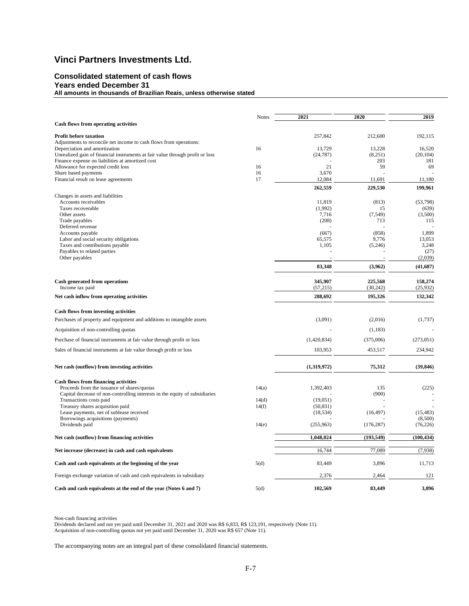# **Consolidated statement of cash flows**

**Years ended December 31**

**All amounts in thousands of Brazilian Reais, unless otherwise stated** 

|                                                                                                                                                                           | <b>Notes</b> | 2021                 | 2020                 | 2019                 |
|---------------------------------------------------------------------------------------------------------------------------------------------------------------------------|--------------|----------------------|----------------------|----------------------|
| <b>Cash flows from operating activities</b>                                                                                                                               |              |                      |                      |                      |
| <b>Profit before taxation</b>                                                                                                                                             |              | 257,842              | 212,600              | 192.115              |
| Adjustments to reconcile net income to cash flows from operations:                                                                                                        |              |                      |                      |                      |
| Depreciation and amortization<br>Unrealized gain of financial instruments at fair value through profit or loss                                                            | 16           | 13.729<br>(24, 787)  | 13.228<br>(8,251)    | 16.520<br>(20, 104)  |
| Finance expense on liabilities at amortized cost                                                                                                                          |              |                      | 203                  | 181                  |
| Allowance for expected credit loss                                                                                                                                        | 16           | 21                   | 59                   | 69                   |
| Share based payments                                                                                                                                                      | 16           | 3,670                |                      |                      |
| Financial result on lease agreements                                                                                                                                      | 17           | 12,084<br>262,559    | 11,691<br>229,530    | 11,180<br>199,961    |
| Changes in assets and liabilities                                                                                                                                         |              |                      |                      |                      |
| Accounts receivables                                                                                                                                                      |              | 11,819               | (813)                | (53, 798)            |
| Taxes recoverable                                                                                                                                                         |              | (1,992)              | 15                   | (639)                |
| Other assets                                                                                                                                                              |              | 7,716                | (7,549)              | (3,500)              |
| Trade payables                                                                                                                                                            |              | (208)                | 713                  | 115                  |
| Deferred revenue                                                                                                                                                          |              |                      |                      |                      |
| Accounts payable<br>Labor and social security obligations                                                                                                                 |              | (667)<br>65,575      | (858)<br>9,776       | 1.899<br>13,053      |
| Taxes and contributions payable                                                                                                                                           |              | 1,105                | (5,246)              | 3,248                |
| Payables to related parties                                                                                                                                               |              |                      |                      | (27)                 |
| Other payables                                                                                                                                                            |              |                      |                      | (2,039)              |
|                                                                                                                                                                           |              | 83,348               | (3,962)              | (41, 687)            |
|                                                                                                                                                                           |              |                      |                      |                      |
| Cash generated from operations<br>Income tax paid                                                                                                                         |              | 345,907<br>(57, 215) | 225,568<br>(30, 242) | 158,274<br>(25, 932) |
| Net cash inflow from operating activities                                                                                                                                 |              | 288,692              | 195,326              | 132,342              |
|                                                                                                                                                                           |              |                      |                      |                      |
| <b>Cash flows from investing activities</b>                                                                                                                               |              |                      |                      |                      |
| Purchases of property and equipment and additions to intangible assets                                                                                                    |              | (3,091)              | (2,016)              | (1,737)              |
| Acquisition of non-controlling quotas                                                                                                                                     |              |                      | (1, 183)             |                      |
| Purchase of financial instruments at fair value through profit or loss                                                                                                    |              | (1,420,834)          | (375,006)            | (273, 051)           |
| Sales of financial instruments at fair value through profit or loss                                                                                                       |              | 103.953              | 453.517              | 234,942              |
| Net cash (outflow) from investing activities                                                                                                                              |              | (1,319,972)          | 75,312               | (39, 846)            |
|                                                                                                                                                                           |              |                      |                      |                      |
| <b>Cash flows from financing activities</b><br>Proceeds from the issuance of shares/quotas<br>Capital decrease of non-controlling interests in the equity of subsidiaries | 14(a)        | 1,392,403            | 135<br>(900)         | (225)                |
| Transactions costs paid                                                                                                                                                   | 14(d)        | (19,051)             |                      |                      |
| Treasury shares acquisition paid                                                                                                                                          | 14(f)        | (50, 831)            |                      |                      |
| Lease payments, net of sublease received                                                                                                                                  |              | (18, 534)            | (16, 497)            | (15, 483)            |
| Borrowings acquisitions (payments)                                                                                                                                        |              |                      |                      | (8,500)              |
| Dividends paid                                                                                                                                                            | 14(e)        | (255,963)            | (176, 287)           | (76, 226)            |
| Net cash (outflow) from financing activities                                                                                                                              |              | 1,048,024            | (193, 549)           | (100, 434)           |
| Net increase (decrease) in cash and cash equivalents                                                                                                                      |              | 16.744               | 77,089               | (7,938)              |
| Cash and cash equivalents at the beginning of the year                                                                                                                    | 5(d)         | 83,449               | 3,896                | 11,713               |
| Foreign exchange variation of cash and cash equivalents in subsidiary                                                                                                     |              | 2,376                | 2,464                | 121                  |
| Cash and cash equivalents at the end of the year (Notes 6 and 7)                                                                                                          | 5(d)         | 102,569              | 83,449               | 3,896                |

Non-cash financing activities<br>Dividends declared and not yet paid until December 31, 2021 and 2020 was R\$ 6,833, R\$ 123,191, respectively (Note 11).<br>Acquisition of non-controlling quotas not yet paid until December 31, 202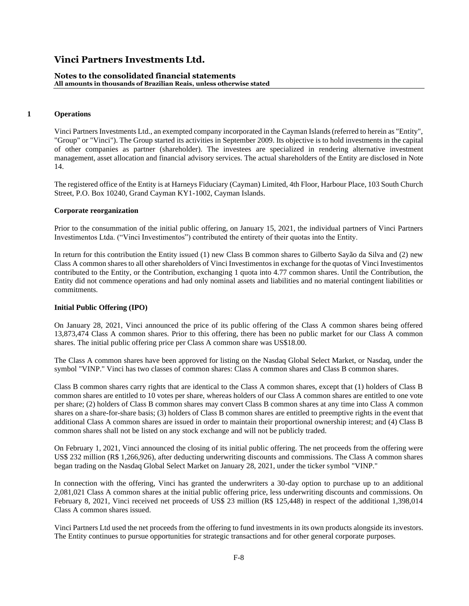#### **Notes to the consolidated financial statements All amounts in thousands of Brazilian Reais, unless otherwise stated**

### **1 Operations**

Vinci Partners Investments Ltd., an exempted company incorporated in the Cayman Islands (referred to herein as "Entity", "Group" or "Vinci"). The Group started its activities in September 2009. Its objective is to hold investments in the capital of other companies as partner (shareholder). The investees are specialized in rendering alternative investment management, asset allocation and financial advisory services. The actual shareholders of the Entity are disclosed in Note 14.

The registered office of the Entity is at Harneys Fiduciary (Cayman) Limited, 4th Floor, Harbour Place, 103 South Church Street, P.O. Box 10240, Grand Cayman KY1-1002, Cayman Islands.

#### **Corporate reorganization**

Prior to the consummation of the initial public offering, on January 15, 2021, the individual partners of Vinci Partners Investimentos Ltda. ("Vinci Investimentos") contributed the entirety of their quotas into the Entity.

In return for this contribution the Entity issued (1) new Class B common shares to Gilberto Sayão da Silva and (2) new Class A common shares to all other shareholders of Vinci Investimentos in exchange for the quotas of Vinci Investimentos contributed to the Entity, or the Contribution, exchanging 1 quota into 4.77 common shares. Until the Contribution, the Entity did not commence operations and had only nominal assets and liabilities and no material contingent liabilities or commitments.

#### **Initial Public Offering (IPO)**

On January 28, 2021, Vinci announced the price of its public offering of the Class A common shares being offered 13,873,474 Class A common shares. Prior to this offering, there has been no public market for our Class A common shares. The initial public offering price per Class A common share was US\$18.00.

The Class A common shares have been approved for listing on the Nasdaq Global Select Market, or Nasdaq, under the symbol "VINP." Vinci has two classes of common shares: Class A common shares and Class B common shares.

Class B common shares carry rights that are identical to the Class A common shares, except that (1) holders of Class B common shares are entitled to 10 votes per share, whereas holders of our Class A common shares are entitled to one vote per share; (2) holders of Class B common shares may convert Class B common shares at any time into Class A common shares on a share-for-share basis; (3) holders of Class B common shares are entitled to preemptive rights in the event that additional Class A common shares are issued in order to maintain their proportional ownership interest; and (4) Class B common shares shall not be listed on any stock exchange and will not be publicly traded.

On February 1, 2021, Vinci announced the closing of its initial public offering. The net proceeds from the offering were US\$ 232 million (R\$ 1,266,926), after deducting underwriting discounts and commissions. The Class A common shares began trading on the Nasdaq Global Select Market on January 28, 2021, under the ticker symbol "VINP."

In connection with the offering, Vinci has granted the underwriters a 30-day option to purchase up to an additional 2,081,021 Class A common shares at the initial public offering price, less underwriting discounts and commissions. On February 8, 2021, Vinci received net proceeds of US\$ 23 million (R\$ 125,448) in respect of the additional 1,398,014 Class A common shares issued.

Vinci Partners Ltd used the net proceeds from the offering to fund investments in its own products alongside its investors. The Entity continues to pursue opportunities for strategic transactions and for other general corporate purposes.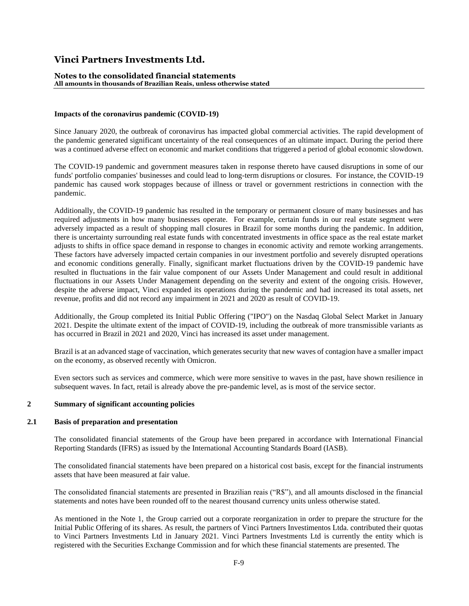#### **Notes to the consolidated financial statements All amounts in thousands of Brazilian Reais, unless otherwise stated**

#### **Impacts of the coronavirus pandemic (COVID-19)**

Since January 2020, the outbreak of coronavirus has impacted global commercial activities. The rapid development of the pandemic generated significant uncertainty of the real consequences of an ultimate impact. During the period there was a continued adverse effect on economic and market conditions that triggered a period of global economic slowdown.

The COVID-19 pandemic and government measures taken in response thereto have caused disruptions in some of our funds' portfolio companies' businesses and could lead to long-term disruptions or closures. For instance, the COVID-19 pandemic has caused work stoppages because of illness or travel or government restrictions in connection with the pandemic.

Additionally, the COVID-19 pandemic has resulted in the temporary or permanent closure of many businesses and has required adjustments in how many businesses operate. For example, certain funds in our real estate segment were adversely impacted as a result of shopping mall closures in Brazil for some months during the pandemic. In addition, there is uncertainty surrounding real estate funds with concentrated investments in office space as the real estate market adjusts to shifts in office space demand in response to changes in economic activity and remote working arrangements. These factors have adversely impacted certain companies in our investment portfolio and severely disrupted operations and economic conditions generally. Finally, significant market fluctuations driven by the COVID-19 pandemic have resulted in fluctuations in the fair value component of our Assets Under Management and could result in additional fluctuations in our Assets Under Management depending on the severity and extent of the ongoing crisis. However, despite the adverse impact, Vinci expanded its operations during the pandemic and had increased its total assets, net revenue, profits and did not record any impairment in 2021 and 2020 as result of COVID-19.

Additionally, the Group completed its Initial Public Offering ("IPO") on the Nasdaq Global Select Market in January 2021. Despite the ultimate extent of the impact of COVID-19, including the outbreak of more transmissible variants as has occurred in Brazil in 2021 and 2020, Vinci has increased its asset under management.

Brazil is at an advanced stage of vaccination, which generates security that new waves of contagion have a smaller impact on the economy, as observed recently with Omicron.

Even sectors such as services and commerce, which were more sensitive to waves in the past, have shown resilience in subsequent waves. In fact, retail is already above the pre-pandemic level, as is most of the service sector.

### **2 Summary of significant accounting policies**

#### **2.1 Basis of preparation and presentation**

The consolidated financial statements of the Group have been prepared in accordance with International Financial Reporting Standards (IFRS) as issued by the International Accounting Standards Board (IASB).

The consolidated financial statements have been prepared on a historical cost basis, except for the financial instruments assets that have been measured at fair value.

The consolidated financial statements are presented in Brazilian reais ("R\$"), and all amounts disclosed in the financial statements and notes have been rounded off to the nearest thousand currency units unless otherwise stated.

As mentioned in the Note 1, the Group carried out a corporate reorganization in order to prepare the structure for the Initial Public Offering of its shares. As result, the partners of Vinci Partners Investimentos Ltda. contributed their quotas to Vinci Partners Investments Ltd in January 2021. Vinci Partners Investments Ltd is currently the entity which is registered with the Securities Exchange Commission and for which these financial statements are presented. The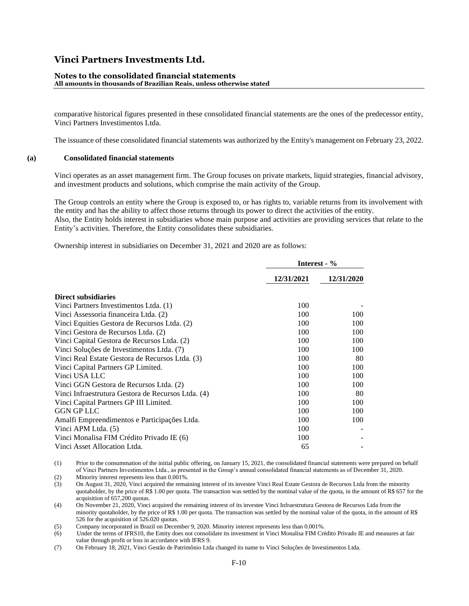### **Notes to the consolidated financial statements**

**All amounts in thousands of Brazilian Reais, unless otherwise stated**

comparative historical figures presented in these consolidated financial statements are the ones of the predecessor entity, Vinci Partners Investimentos Ltda.

The issuance of these consolidated financial statements was authorized by the Entity's management on February 23, 2022.

#### **(a) Consolidated financial statements**

Vinci operates as an asset management firm. The Group focuses on private markets, liquid strategies, financial advisory, and investment products and solutions, which comprise the main activity of the Group.

The Group controls an entity where the Group is exposed to, or has rights to, variable returns from its involvement with the entity and has the ability to affect those returns through its power to direct the activities of the entity.

Also, the Entity holds interest in subsidiaries whose main purpose and activities are providing services that relate to the Entity's activities. Therefore, the Entity consolidates these subsidiaries.

Ownership interest in subsidiaries on December 31, 2021 and 2020 are as follows:

|                                                    | Interest - % |            |  |
|----------------------------------------------------|--------------|------------|--|
|                                                    | 12/31/2021   | 12/31/2020 |  |
| <b>Direct subsidiaries</b>                         |              |            |  |
| Vinci Partners Investimentos Ltda. (1)             | 100          |            |  |
| Vinci Assessoria financeira Ltda. (2)              | 100          | 100        |  |
| Vinci Equities Gestora de Recursos Ltda. (2)       | 100          | 100        |  |
| Vinci Gestora de Recursos Ltda. (2)                | 100          | 100        |  |
| Vinci Capital Gestora de Recursos Ltda. (2)        | 100          | 100        |  |
| Vinci Soluções de Investimentos Ltda. (7)          | 100          | 100        |  |
| Vinci Real Estate Gestora de Recursos Ltda. (3)    | 100          | 80         |  |
| Vinci Capital Partners GP Limited.                 | 100          | 100        |  |
| Vinci USA LLC                                      | 100          | 100        |  |
| Vinci GGN Gestora de Recursos Ltda. (2)            | 100          | 100        |  |
| Vinci Infraestrutura Gestora de Recursos Ltda. (4) | 100          | 80         |  |
| Vinci Capital Partners GP III Limited.             | 100          | 100        |  |
| <b>GGN GP LLC</b>                                  | 100          | 100        |  |
| Amalfi Empreendimentos e Participações Ltda.       | 100          | 100        |  |
| Vinci APM Ltda. (5)                                | 100          |            |  |
| Vinci Monalisa FIM Crédito Privado IE (6)          | 100          |            |  |
| Vinci Asset Allocation Ltda.                       | 65           |            |  |

(1) Prior to the consummation of the initial public offering, on January 15, 2021, the consolidated financial statements were prepared on behalf of Vinci Partners Investimentos Ltda., as presented in the Group's annual consolidated financial statements as of December 31, 2020. (2) Minority interest represents less than 0.001%.

(3) On August 31, 2020, Vinci acquired the remaining interest of its investee Vinci Real Estate Gestora de Recursos Ltda from the minority quotaholder, by the price of R\$ 1.00 per quota. The transaction was settled by the nominal value of the quota, in the amount of R\$ 657 for the acquisition of 657,200 quotas.

(4) On November 21, 2020, Vinci acquired the remaining interest of its investee Vinci Infraestrutura Gestora de Recursos Ltda from the minority quotaholder, by the price of R\$ 1.00 per quota. The transaction was settled by the nominal value of the quota, in the amount of R\$ 526 for the acquisition of 526.020 quotas.

(5) Company incorporated in Brazil on December 9, 2020. Minority interest represents less than 0.001%.<br>
(6) Under the terms of IFRS10, the Entity does not consolidate its investment in Vinci Monalisa FIM Cre

Under the terms of IFRS10, the Entity does not consolidate its investment in Vinci Monalisa FIM Crédito Privado IE and measures at fair value through profit or loss in accordance with IFRS 9.

(7) On February 18, 2021, Vinci Gestão de Patrimônio Ltda changed its name to Vinci Soluções de Investimentos Ltda.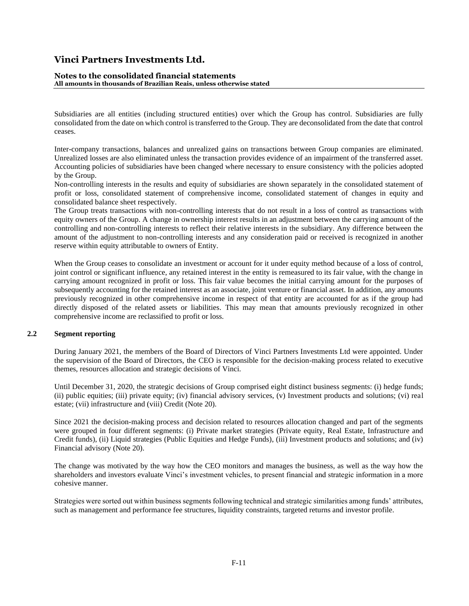#### **Notes to the consolidated financial statements All amounts in thousands of Brazilian Reais, unless otherwise stated**

Subsidiaries are all entities (including structured entities) over which the Group has control. Subsidiaries are fully consolidated from the date on which control is transferred to the Group. They are deconsolidated from the date that control ceases.

Inter-company transactions, balances and unrealized gains on transactions between Group companies are eliminated. Unrealized losses are also eliminated unless the transaction provides evidence of an impairment of the transferred asset. Accounting policies of subsidiaries have been changed where necessary to ensure consistency with the policies adopted by the Group.

Non-controlling interests in the results and equity of subsidiaries are shown separately in the consolidated statement of profit or loss, consolidated statement of comprehensive income, consolidated statement of changes in equity and consolidated balance sheet respectively.

The Group treats transactions with non-controlling interests that do not result in a loss of control as transactions with equity owners of the Group. A change in ownership interest results in an adjustment between the carrying amount of the controlling and non-controlling interests to reflect their relative interests in the subsidiary. Any difference between the amount of the adjustment to non-controlling interests and any consideration paid or received is recognized in another reserve within equity attributable to owners of Entity.

When the Group ceases to consolidate an investment or account for it under equity method because of a loss of control, joint control or significant influence, any retained interest in the entity is remeasured to its fair value, with the change in carrying amount recognized in profit or loss. This fair value becomes the initial carrying amount for the purposes of subsequently accounting for the retained interest as an associate, joint venture or financial asset. In addition, any amounts previously recognized in other comprehensive income in respect of that entity are accounted for as if the group had directly disposed of the related assets or liabilities. This may mean that amounts previously recognized in other comprehensive income are reclassified to profit or loss.

#### **2.2 Segment reporting**

During January 2021, the members of the Board of Directors of Vinci Partners Investments Ltd were appointed. Under the supervision of the Board of Directors, the CEO is responsible for the decision-making process related to executive themes, resources allocation and strategic decisions of Vinci.

Until December 31, 2020, the strategic decisions of Group comprised eight distinct business segments: (i) hedge funds; (ii) public equities; (iii) private equity; (iv) financial advisory services, (v) Investment products and solutions; (vi) real estate; (vii) infrastructure and (viii) Credit (Note 20).

Since 2021 the decision-making process and decision related to resources allocation changed and part of the segments were grouped in four different segments: (i) Private market strategies (Private equity, Real Estate, Infrastructure and Credit funds), (ii) Liquid strategies (Public Equities and Hedge Funds), (iii) Investment products and solutions; and (iv) Financial advisory (Note 20).

The change was motivated by the way how the CEO monitors and manages the business, as well as the way how the shareholders and investors evaluate Vinci's investment vehicles, to present financial and strategic information in a more cohesive manner.

Strategies were sorted out within business segments following technical and strategic similarities among funds' attributes, such as management and performance fee structures, liquidity constraints, targeted returns and investor profile.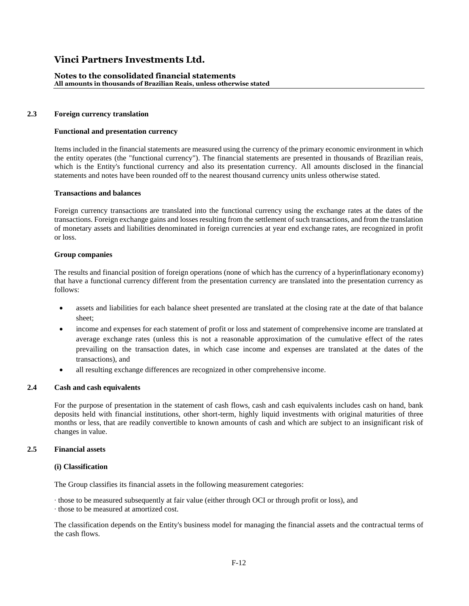#### **Notes to the consolidated financial statements All amounts in thousands of Brazilian Reais, unless otherwise stated**

#### **2.3 Foreign currency translation**

#### **Functional and presentation currency**

Items included in the financial statements are measured using the currency of the primary economic environment in which the entity operates (the "functional currency"). The financial statements are presented in thousands of Brazilian reais, which is the Entity's functional currency and also its presentation currency. All amounts disclosed in the financial statements and notes have been rounded off to the nearest thousand currency units unless otherwise stated.

#### **Transactions and balances**

Foreign currency transactions are translated into the functional currency using the exchange rates at the dates of the transactions. Foreign exchange gains and losses resulting from the settlement of such transactions, and from the translation of monetary assets and liabilities denominated in foreign currencies at year end exchange rates, are recognized in profit or loss.

#### **Group companies**

The results and financial position of foreign operations (none of which has the currency of a hyperinflationary economy) that have a functional currency different from the presentation currency are translated into the presentation currency as follows:

- assets and liabilities for each balance sheet presented are translated at the closing rate at the date of that balance sheet;
- income and expenses for each statement of profit or loss and statement of comprehensive income are translated at average exchange rates (unless this is not a reasonable approximation of the cumulative effect of the rates prevailing on the transaction dates, in which case income and expenses are translated at the dates of the transactions), and
- all resulting exchange differences are recognized in other comprehensive income.

#### **2.4 Cash and cash equivalents**

For the purpose of presentation in the statement of cash flows, cash and cash equivalents includes cash on hand, bank deposits held with financial institutions, other short-term, highly liquid investments with original maturities of three months or less, that are readily convertible to known amounts of cash and which are subject to an insignificant risk of changes in value.

#### **2.5 Financial assets**

#### **(i) Classification**

The Group classifies its financial assets in the following measurement categories:

∙ those to be measured subsequently at fair value (either through OCI or through profit or loss), and ∙ those to be measured at amortized cost.

The classification depends on the Entity's business model for managing the financial assets and the contractual terms of the cash flows.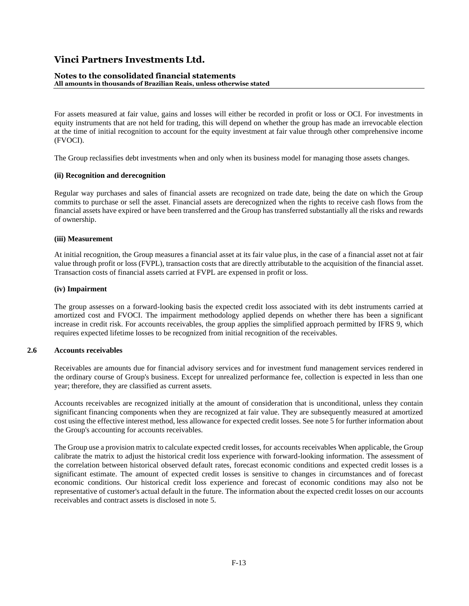### **Notes to the consolidated financial statements**

**All amounts in thousands of Brazilian Reais, unless otherwise stated**

For assets measured at fair value, gains and losses will either be recorded in profit or loss or OCI. For investments in equity instruments that are not held for trading, this will depend on whether the group has made an irrevocable election at the time of initial recognition to account for the equity investment at fair value through other comprehensive income (FVOCI).

The Group reclassifies debt investments when and only when its business model for managing those assets changes.

### **(ii) Recognition and derecognition**

Regular way purchases and sales of financial assets are recognized on trade date, being the date on which the Group commits to purchase or sell the asset. Financial assets are derecognized when the rights to receive cash flows from the financial assets have expired or have been transferred and the Group has transferred substantially all the risks and rewards of ownership.

### **(iii) Measurement**

At initial recognition, the Group measures a financial asset at its fair value plus, in the case of a financial asset not at fair value through profit or loss (FVPL), transaction costs that are directly attributable to the acquisition of the financial asset. Transaction costs of financial assets carried at FVPL are expensed in profit or loss.

### **(iv) Impairment**

The group assesses on a forward-looking basis the expected credit loss associated with its debt instruments carried at amortized cost and FVOCI. The impairment methodology applied depends on whether there has been a significant increase in credit risk. For accounts receivables, the group applies the simplified approach permitted by IFRS 9, which requires expected lifetime losses to be recognized from initial recognition of the receivables.

### **2.6 Accounts receivables**

Receivables are amounts due for financial advisory services and for investment fund management services rendered in the ordinary course of Group's business. Except for unrealized performance fee, collection is expected in less than one year; therefore, they are classified as current assets.

Accounts receivables are recognized initially at the amount of consideration that is unconditional, unless they contain significant financing components when they are recognized at fair value. They are subsequently measured at amortized cost using the effective interest method, less allowance for expected credit losses. See note 5 for further information about the Group's accounting for accounts receivables.

The Group use a provision matrix to calculate expected credit losses, for accounts receivables When applicable, the Group calibrate the matrix to adjust the historical credit loss experience with forward-looking information. The assessment of the correlation between historical observed default rates, forecast economic conditions and expected credit losses is a significant estimate. The amount of expected credit losses is sensitive to changes in circumstances and of forecast economic conditions. Our historical credit loss experience and forecast of economic conditions may also not be representative of customer's actual default in the future. The information about the expected credit losses on our accounts receivables and contract assets is disclosed in note 5.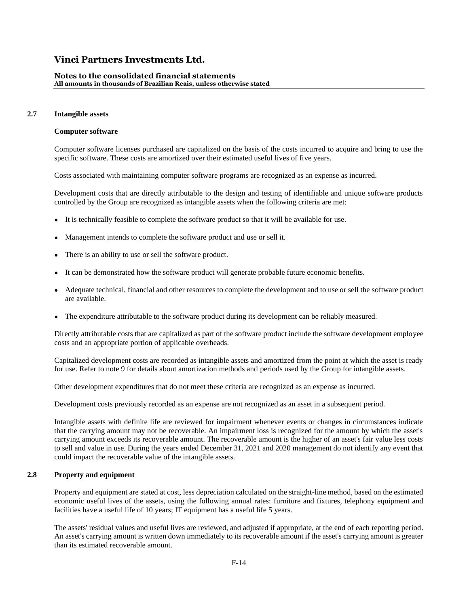#### **Notes to the consolidated financial statements All amounts in thousands of Brazilian Reais, unless otherwise stated**

### **2.7 Intangible assets**

#### **Computer software**

Computer software licenses purchased are capitalized on the basis of the costs incurred to acquire and bring to use the specific software. These costs are amortized over their estimated useful lives of five years.

Costs associated with maintaining computer software programs are recognized as an expense as incurred.

Development costs that are directly attributable to the design and testing of identifiable and unique software products controlled by the Group are recognized as intangible assets when the following criteria are met:

- It is technically feasible to complete the software product so that it will be available for use.
- Management intends to complete the software product and use or sell it.
- There is an ability to use or sell the software product.
- It can be demonstrated how the software product will generate probable future economic benefits.
- Adequate technical, financial and other resources to complete the development and to use or sell the software product are available.
- The expenditure attributable to the software product during its development can be reliably measured.

Directly attributable costs that are capitalized as part of the software product include the software development employee costs and an appropriate portion of applicable overheads.

Capitalized development costs are recorded as intangible assets and amortized from the point at which the asset is ready for use. Refer to note 9 for details about amortization methods and periods used by the Group for intangible assets.

Other development expenditures that do not meet these criteria are recognized as an expense as incurred.

Development costs previously recorded as an expense are not recognized as an asset in a subsequent period.

Intangible assets with definite life are reviewed for impairment whenever events or changes in circumstances indicate that the carrying amount may not be recoverable. An impairment loss is recognized for the amount by which the asset's carrying amount exceeds its recoverable amount. The recoverable amount is the higher of an asset's fair value less costs to sell and value in use. During the years ended December 31, 2021 and 2020 management do not identify any event that could impact the recoverable value of the intangible assets.

### **2.8 Property and equipment**

Property and equipment are stated at cost, less depreciation calculated on the straight-line method, based on the estimated economic useful lives of the assets, using the following annual rates: furniture and fixtures, telephony equipment and facilities have a useful life of 10 years; IT equipment has a useful life 5 years.

The assets' residual values and useful lives are reviewed, and adjusted if appropriate, at the end of each reporting period. An asset's carrying amount is written down immediately to its recoverable amount if the asset's carrying amount is greater than its estimated recoverable amount.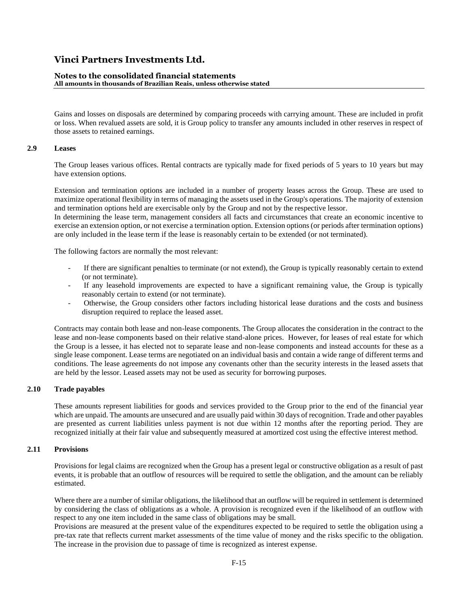#### **Notes to the consolidated financial statements All amounts in thousands of Brazilian Reais, unless otherwise stated**

Gains and losses on disposals are determined by comparing proceeds with carrying amount. These are included in profit or loss. When revalued assets are sold, it is Group policy to transfer any amounts included in other reserves in respect of those assets to retained earnings.

#### **2.9 Leases**

The Group leases various offices. Rental contracts are typically made for fixed periods of 5 years to 10 years but may have extension options.

Extension and termination options are included in a number of property leases across the Group. These are used to maximize operational flexibility in terms of managing the assets used in the Group's operations. The majority of extension and termination options held are exercisable only by the Group and not by the respective lessor.

In determining the lease term, management considers all facts and circumstances that create an economic incentive to exercise an extension option, or not exercise a termination option. Extension options (or periods after termination options) are only included in the lease term if the lease is reasonably certain to be extended (or not terminated).

The following factors are normally the most relevant:

- If there are significant penalties to terminate (or not extend), the Group is typically reasonably certain to extend (or not terminate).
- If any leasehold improvements are expected to have a significant remaining value, the Group is typically reasonably certain to extend (or not terminate).
- Otherwise, the Group considers other factors including historical lease durations and the costs and business disruption required to replace the leased asset.

Contracts may contain both lease and non-lease components. The Group allocates the consideration in the contract to the lease and non-lease components based on their relative stand-alone prices. However, for leases of real estate for which the Group is a lessee, it has elected not to separate lease and non-lease components and instead accounts for these as a single lease component. Lease terms are negotiated on an individual basis and contain a wide range of different terms and conditions. The lease agreements do not impose any covenants other than the security interests in the leased assets that are held by the lessor. Leased assets may not be used as security for borrowing purposes.

#### **2.10 Trade payables**

These amounts represent liabilities for goods and services provided to the Group prior to the end of the financial year which are unpaid. The amounts are unsecured and are usually paid within 30 days of recognition. Trade and other payables are presented as current liabilities unless payment is not due within 12 months after the reporting period. They are recognized initially at their fair value and subsequently measured at amortized cost using the effective interest method.

### **2.11 Provisions**

Provisions for legal claims are recognized when the Group has a present legal or constructive obligation as a result of past events, it is probable that an outflow of resources will be required to settle the obligation, and the amount can be reliably estimated.

Where there are a number of similar obligations, the likelihood that an outflow will be required in settlement is determined by considering the class of obligations as a whole. A provision is recognized even if the likelihood of an outflow with respect to any one item included in the same class of obligations may be small.

Provisions are measured at the present value of the expenditures expected to be required to settle the obligation using a pre-tax rate that reflects current market assessments of the time value of money and the risks specific to the obligation. The increase in the provision due to passage of time is recognized as interest expense.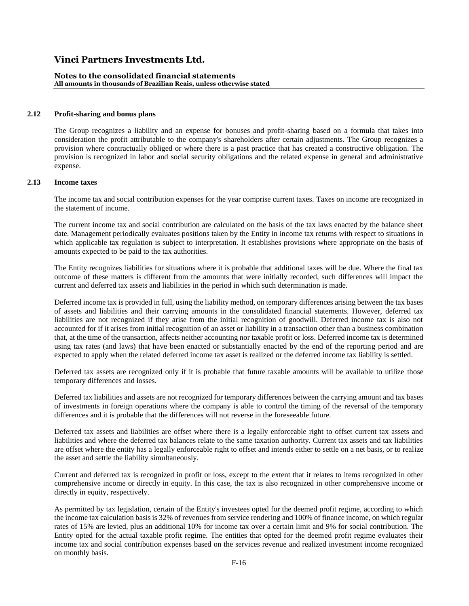#### **Notes to the consolidated financial statements All amounts in thousands of Brazilian Reais, unless otherwise stated**

### **2.12 Profit-sharing and bonus plans**

The Group recognizes a liability and an expense for bonuses and profit-sharing based on a formula that takes into consideration the profit attributable to the company's shareholders after certain adjustments. The Group recognizes a provision where contractually obliged or where there is a past practice that has created a constructive obligation. The provision is recognized in labor and social security obligations and the related expense in general and administrative expense.

### **2.13 Income taxes**

The income tax and social contribution expenses for the year comprise current taxes. Taxes on income are recognized in the statement of income.

The current income tax and social contribution are calculated on the basis of the tax laws enacted by the balance sheet date. Management periodically evaluates positions taken by the Entity in income tax returns with respect to situations in which applicable tax regulation is subject to interpretation. It establishes provisions where appropriate on the basis of amounts expected to be paid to the tax authorities.

The Entity recognizes liabilities for situations where it is probable that additional taxes will be due. Where the final tax outcome of these matters is different from the amounts that were initially recorded, such differences will impact the current and deferred tax assets and liabilities in the period in which such determination is made.

Deferred income tax is provided in full, using the liability method, on temporary differences arising between the tax bases of assets and liabilities and their carrying amounts in the consolidated financial statements. However, deferred tax liabilities are not recognized if they arise from the initial recognition of goodwill. Deferred income tax is also not accounted for if it arises from initial recognition of an asset or liability in a transaction other than a business combination that, at the time of the transaction, affects neither accounting nor taxable profit or loss. Deferred income tax is determined using tax rates (and laws) that have been enacted or substantially enacted by the end of the reporting period and are expected to apply when the related deferred income tax asset is realized or the deferred income tax liability is settled.

Deferred tax assets are recognized only if it is probable that future taxable amounts will be available to utilize those temporary differences and losses.

Deferred tax liabilities and assets are not recognized for temporary differences between the carrying amount and tax bases of investments in foreign operations where the company is able to control the timing of the reversal of the temporary differences and it is probable that the differences will not reverse in the foreseeable future.

Deferred tax assets and liabilities are offset where there is a legally enforceable right to offset current tax assets and liabilities and where the deferred tax balances relate to the same taxation authority. Current tax assets and tax liabilities are offset where the entity has a legally enforceable right to offset and intends either to settle on a net basis, or to realize the asset and settle the liability simultaneously.

Current and deferred tax is recognized in profit or loss, except to the extent that it relates to items recognized in other comprehensive income or directly in equity. In this case, the tax is also recognized in other comprehensive income or directly in equity, respectively.

As permitted by tax legislation, certain of the Entity's investees opted for the deemed profit regime, according to which the income tax calculation basis is 32% of revenues from service rendering and 100% of finance income, on which regular rates of 15% are levied, plus an additional 10% for income tax over a certain limit and 9% for social contribution. The Entity opted for the actual taxable profit regime. The entities that opted for the deemed profit regime evaluates their income tax and social contribution expenses based on the services revenue and realized investment income recognized on monthly basis.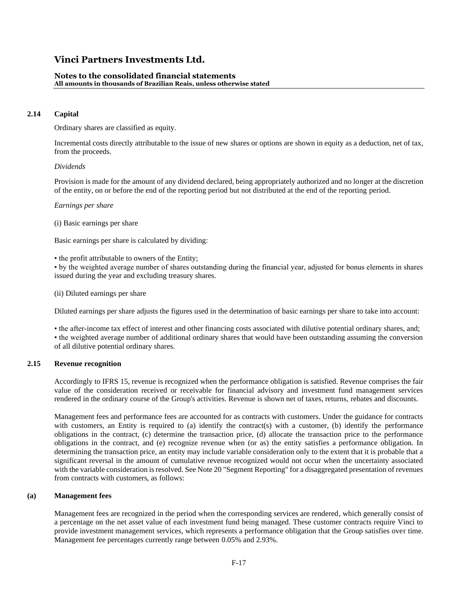# **Notes to the consolidated financial statements**

**All amounts in thousands of Brazilian Reais, unless otherwise stated**

### **2.14 Capital**

Ordinary shares are classified as equity.

Incremental costs directly attributable to the issue of new shares or options are shown in equity as a deduction, net of tax, from the proceeds.

### *Dividends*

Provision is made for the amount of any dividend declared, being appropriately authorized and no longer at the discretion of the entity, on or before the end of the reporting period but not distributed at the end of the reporting period.

### *Earnings per share*

(i) Basic earnings per share

Basic earnings per share is calculated by dividing:

• the profit attributable to owners of the Entity;

• by the weighted average number of shares outstanding during the financial year, adjusted for bonus elements in shares issued during the year and excluding treasury shares.

(ii) Diluted earnings per share

Diluted earnings per share adjusts the figures used in the determination of basic earnings per share to take into account:

• the after-income tax effect of interest and other financing costs associated with dilutive potential ordinary shares, and;

• the weighted average number of additional ordinary shares that would have been outstanding assuming the conversion of all dilutive potential ordinary shares.

### **2.15 Revenue recognition**

Accordingly to IFRS 15, revenue is recognized when the performance obligation is satisfied. Revenue comprises the fair value of the consideration received or receivable for financial advisory and investment fund management services rendered in the ordinary course of the Group's activities. Revenue is shown net of taxes, returns, rebates and discounts.

Management fees and performance fees are accounted for as contracts with customers. Under the guidance for contracts with customers, an Entity is required to (a) identify the contract(s) with a customer, (b) identify the performance obligations in the contract, (c) determine the transaction price, (d) allocate the transaction price to the performance obligations in the contract, and (e) recognize revenue when (or as) the entity satisfies a performance obligation. In determining the transaction price, an entity may include variable consideration only to the extent that it is probable that a significant reversal in the amount of cumulative revenue recognized would not occur when the uncertainty associated with the variable consideration is resolved. See Note 20 "Segment Reporting" for a disaggregated presentation of revenues from contracts with customers, as follows:

### **(a) Management fees**

Management fees are recognized in the period when the corresponding services are rendered, which generally consist of a percentage on the net asset value of each investment fund being managed. These customer contracts require Vinci to provide investment management services, which represents a performance obligation that the Group satisfies over time. Management fee percentages currently range between 0.05% and 2.93%.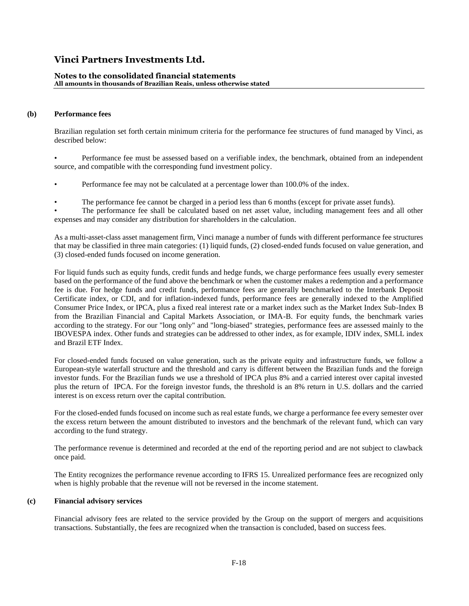# **Notes to the consolidated financial statements**

**All amounts in thousands of Brazilian Reais, unless otherwise stated**

### **(b) Performance fees**

Brazilian regulation set forth certain minimum criteria for the performance fee structures of fund managed by Vinci, as described below:

• Performance fee must be assessed based on a verifiable index, the benchmark, obtained from an independent source, and compatible with the corresponding fund investment policy.

• Performance fee may not be calculated at a percentage lower than 100.0% of the index.

The performance fee cannot be charged in a period less than 6 months (except for private asset funds).

The performance fee shall be calculated based on net asset value, including management fees and all other expenses and may consider any distribution for shareholders in the calculation.

As a multi-asset-class asset management firm, Vinci manage a number of funds with different performance fee structures that may be classified in three main categories: (1) liquid funds, (2) closed-ended funds focused on value generation, and (3) closed-ended funds focused on income generation.

For liquid funds such as equity funds, credit funds and hedge funds, we charge performance fees usually every semester based on the performance of the fund above the benchmark or when the customer makes a redemption and a performance fee is due. For hedge funds and credit funds, performance fees are generally benchmarked to the Interbank Deposit Certificate index, or CDI, and for inflation-indexed funds, performance fees are generally indexed to the Amplified Consumer Price Index, or IPCA, plus a fixed real interest rate or a market index such as the Market Index Sub-Index B from the Brazilian Financial and Capital Markets Association, or IMA-B. For equity funds, the benchmark varies according to the strategy. For our "long only" and "long-biased" strategies, performance fees are assessed mainly to the IBOVESPA index. Other funds and strategies can be addressed to other index, as for example, IDIV index, SMLL index and Brazil ETF Index.

For closed-ended funds focused on value generation, such as the private equity and infrastructure funds, we follow a European-style waterfall structure and the threshold and carry is different between the Brazilian funds and the foreign investor funds. For the Brazilian funds we use a threshold of IPCA plus 8% and a carried interest over capital invested plus the return of IPCA. For the foreign investor funds, the threshold is an 8% return in U.S. dollars and the carried interest is on excess return over the capital contribution.

For the closed-ended funds focused on income such as real estate funds, we charge a performance fee every semester over the excess return between the amount distributed to investors and the benchmark of the relevant fund, which can vary according to the fund strategy.

The performance revenue is determined and recorded at the end of the reporting period and are not subject to clawback once paid.

The Entity recognizes the performance revenue according to IFRS 15. Unrealized performance fees are recognized only when is highly probable that the revenue will not be reversed in the income statement.

### **(c) Financial advisory services**

Financial advisory fees are related to the service provided by the Group on the support of mergers and acquisitions transactions. Substantially, the fees are recognized when the transaction is concluded, based on success fees.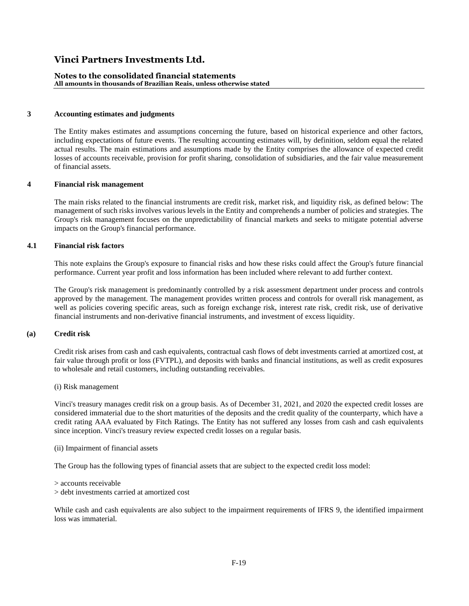#### **Notes to the consolidated financial statements All amounts in thousands of Brazilian Reais, unless otherwise stated**

### **3 Accounting estimates and judgments**

The Entity makes estimates and assumptions concerning the future, based on historical experience and other factors, including expectations of future events. The resulting accounting estimates will, by definition, seldom equal the related actual results. The main estimations and assumptions made by the Entity comprises the allowance of expected credit losses of accounts receivable, provision for profit sharing, consolidation of subsidiaries, and the fair value measurement of financial assets.

#### **4 Financial risk management**

The main risks related to the financial instruments are credit risk, market risk, and liquidity risk, as defined below: The management of such risks involves various levels in the Entity and comprehends a number of policies and strategies. The Group's risk management focuses on the unpredictability of financial markets and seeks to mitigate potential adverse impacts on the Group's financial performance.

#### **4.1 Financial risk factors**

This note explains the Group's exposure to financial risks and how these risks could affect the Group's future financial performance. Current year profit and loss information has been included where relevant to add further context.

The Group's risk management is predominantly controlled by a risk assessment department under process and controls approved by the management. The management provides written process and controls for overall risk management, as well as policies covering specific areas, such as foreign exchange risk, interest rate risk, credit risk, use of derivative financial instruments and non-derivative financial instruments, and investment of excess liquidity.

### **(a) Credit risk**

Credit risk arises from cash and cash equivalents, contractual cash flows of debt investments carried at amortized cost, at fair value through profit or loss (FVTPL), and deposits with banks and financial institutions, as well as credit exposures to wholesale and retail customers, including outstanding receivables.

#### (i) Risk management

Vinci's treasury manages credit risk on a group basis. As of December 31, 2021, and 2020 the expected credit losses are considered immaterial due to the short maturities of the deposits and the credit quality of the counterparty, which have a credit rating AAA evaluated by Fitch Ratings. The Entity has not suffered any losses from cash and cash equivalents since inception. Vinci's treasury review expected credit losses on a regular basis.

#### (ii) Impairment of financial assets

The Group has the following types of financial assets that are subject to the expected credit loss model:

> accounts receivable

> debt investments carried at amortized cost

While cash and cash equivalents are also subject to the impairment requirements of IFRS 9, the identified impairment loss was immaterial.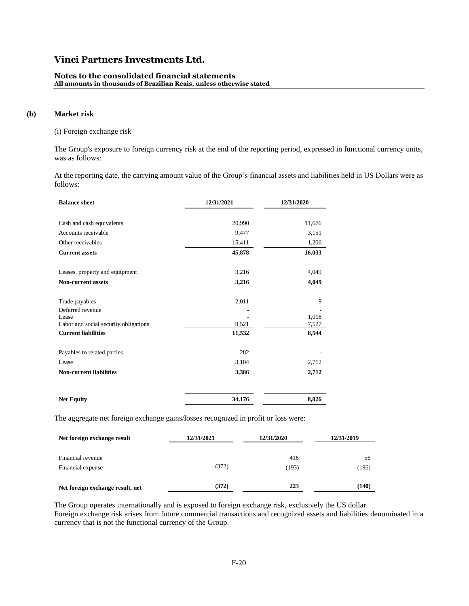# **Notes to the consolidated financial statements**

**All amounts in thousands of Brazilian Reais, unless otherwise stated**

### **(b) Market risk**

(i) Foreign exchange risk

The Group's exposure to foreign currency risk at the end of the reporting period, expressed in functional currency units, was as follows:

At the reporting date, the carrying amount value of the Group's financial assets and liabilities held in US Dollars were as follows:

| <b>Balance sheet</b>                           | 12/31/2021 | 12/31/2020     |  |
|------------------------------------------------|------------|----------------|--|
|                                                |            |                |  |
| Cash and cash equivalents                      | 20,990     | 11,676         |  |
| Accounts receivable                            | 9,477      | 3,151          |  |
| Other receivables                              | 15,411     | 1,206          |  |
| <b>Current assets</b>                          | 45,878     | 16,033         |  |
| Leases, property and equipment                 | 3,216      | 4,049          |  |
| <b>Non-current assets</b>                      | 3,216      | 4,049          |  |
| Trade payables                                 | 2,011      | 9              |  |
| Deferred revenue                               |            |                |  |
| Lease<br>Labor and social security obligations | 9,521      | 1,008<br>7,527 |  |
| <b>Current liabilities</b>                     | 11,532     | 8,544          |  |
| Payables to related parties                    | 282        |                |  |
| Lease                                          | 3,104      | 2,712          |  |
| <b>Non-current liabilities</b>                 | 3,386      | 2,712          |  |
| <b>Net Equity</b>                              | 34,176     | 8,826          |  |

The aggregate net foreign exchange gains/losses recognized in profit or loss were:

| Net foreign exchange result      | 12/31/2021 | 12/31/2020 | 12/31/2019 |
|----------------------------------|------------|------------|------------|
| Financial revenue                | ۰          | 416        | 56         |
| Financial expense                | (372)      | (193)      | (196)      |
| Net foreign exchange result, net | (372)      | 223        | (140)      |

The Group operates internationally and is exposed to foreign exchange risk, exclusively the US dollar. Foreign exchange risk arises from future commercial transactions and recognized assets and liabilities denominated in a currency that is not the functional currency of the Group.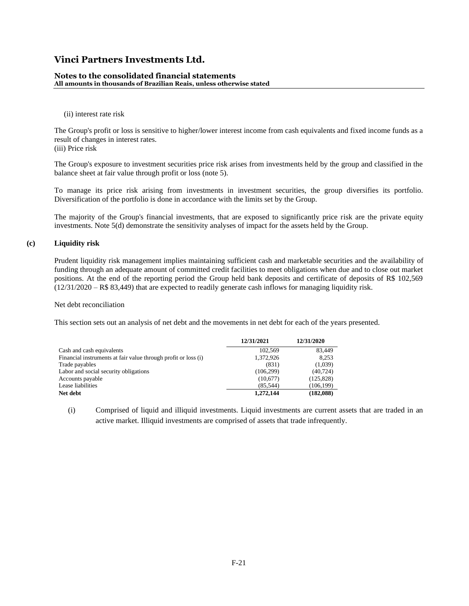#### **Notes to the consolidated financial statements All amounts in thousands of Brazilian Reais, unless otherwise stated**

### (ii) interest rate risk

The Group's profit or loss is sensitive to higher/lower interest income from cash equivalents and fixed income funds as a result of changes in interest rates.

(iii) Price risk

The Group's exposure to investment securities price risk arises from investments held by the group and classified in the balance sheet at fair value through profit or loss (note 5).

To manage its price risk arising from investments in investment securities, the group diversifies its portfolio. Diversification of the portfolio is done in accordance with the limits set by the Group.

The majority of the Group's financial investments, that are exposed to significantly price risk are the private equity investments. Note 5(d) demonstrate the sensitivity analyses of impact for the assets held by the Group.

### **(c) Liquidity risk**

Prudent liquidity risk management implies maintaining sufficient cash and marketable securities and the availability of funding through an adequate amount of committed credit facilities to meet obligations when due and to close out market positions. At the end of the reporting period the Group held bank deposits and certificate of deposits of R\$ 102,569 (12/31/2020 – R\$ 83,449) that are expected to readily generate cash inflows for managing liquidity risk.

### Net debt reconciliation

This section sets out an analysis of net debt and the movements in net debt for each of the years presented.

|                                                                | 12/31/2021 | 12/31/2020 |
|----------------------------------------------------------------|------------|------------|
| Cash and cash equivalents                                      | 102.569    | 83,449     |
| Financial instruments at fair value through profit or loss (i) | 1,372,926  | 8,253      |
| Trade payables                                                 | (831)      | (1,039)    |
| Labor and social security obligations                          | (106, 299) | (40, 724)  |
| Accounts payable                                               | (10,677)   | (125, 828) |
| Lease liabilities                                              | (85.544)   | (106,199)  |
| Net debt                                                       | 1,272,144  | (182,088)  |

(i) Comprised of liquid and illiquid investments. Liquid investments are current assets that are traded in an active market. Illiquid investments are comprised of assets that trade infrequently.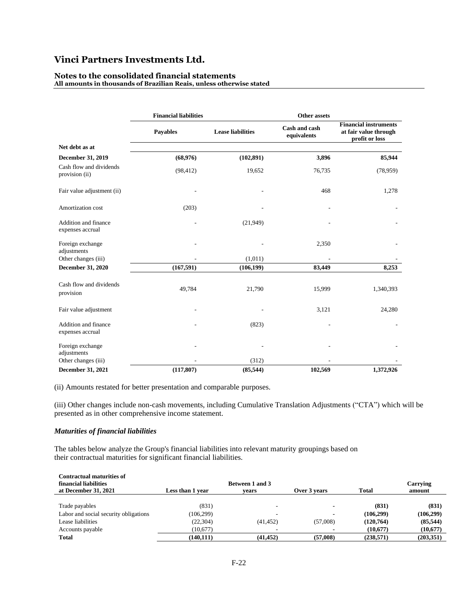### **Notes to the consolidated financial statements**

**All amounts in thousands of Brazilian Reais, unless otherwise stated**

|                                           | <b>Financial liabilities</b> |                          | Other assets                 |                                                                         |  |  |
|-------------------------------------------|------------------------------|--------------------------|------------------------------|-------------------------------------------------------------------------|--|--|
|                                           | <b>Payables</b>              | <b>Lease liabilities</b> | Cash and cash<br>equivalents | <b>Financial instruments</b><br>at fair value through<br>profit or loss |  |  |
| Net debt as at                            |                              |                          |                              |                                                                         |  |  |
| December 31, 2019                         | (68,976)                     | (102, 891)               | 3,896                        | 85,944                                                                  |  |  |
| Cash flow and dividends<br>provision (ii) | (98, 412)                    | 19,652                   | 76,735                       | (78,959)                                                                |  |  |
| Fair value adjustment (ii)                |                              |                          | 468                          | 1,278                                                                   |  |  |
| Amortization cost                         | (203)                        |                          |                              |                                                                         |  |  |
| Addition and finance<br>expenses accrual  |                              | (21,949)                 |                              |                                                                         |  |  |
| Foreign exchange<br>adjustments           |                              |                          | 2,350                        |                                                                         |  |  |
| Other changes (iii)                       |                              | (1,011)                  |                              |                                                                         |  |  |
| December 31, 2020                         | (167, 591)                   | (106, 199)               | 83,449                       | 8,253                                                                   |  |  |
| Cash flow and dividends<br>provision      | 49,784                       | 21,790                   | 15,999                       | 1,340,393                                                               |  |  |
| Fair value adjustment                     |                              |                          | 3,121                        | 24,280                                                                  |  |  |
| Addition and finance<br>expenses accrual  |                              | (823)                    |                              |                                                                         |  |  |
| Foreign exchange<br>adjustments           |                              |                          |                              |                                                                         |  |  |
| Other changes (iii)                       |                              | (312)                    |                              |                                                                         |  |  |
| <b>December 31, 2021</b>                  | (117, 807)                   | (85, 544)                | 102,569                      | 1,372,926                                                               |  |  |

(ii) Amounts restated for better presentation and comparable purposes.

(iii) Other changes include non-cash movements, including Cumulative Translation Adjustments ("CTA") which will be presented as in other comprehensive income statement.

#### *Maturities of financial liabilities*

The tables below analyze the Group's financial liabilities into relevant maturity groupings based on their contractual maturities for significant financial liabilities.

| <b>Contractual maturities of</b>      |                  |                          |                          |              |            |
|---------------------------------------|------------------|--------------------------|--------------------------|--------------|------------|
| financial liabilities                 |                  | <b>Between 1 and 3</b>   |                          |              | Carrying   |
| at December 31, 2021                  | Less than 1 year | vears                    | Over 3 years             | <b>Total</b> | amount     |
|                                       |                  |                          |                          |              |            |
| Trade payables                        | (831)            | $\overline{\phantom{a}}$ |                          | (831)        | (831)      |
| Labor and social security obligations | (106, 299)       |                          | $\overline{\phantom{a}}$ | (106.299)    | (106, 299) |
| Lease liabilities                     | (22, 304)        | (41, 452)                | (57,008)                 | (120,764)    | (85, 544)  |
| Accounts payable                      | (10.677)         |                          |                          | (10.677)     | (10,677)   |
| <b>Total</b>                          | (140.111)        | (41.452)                 | (57.008)                 | (238,571)    | (203, 351) |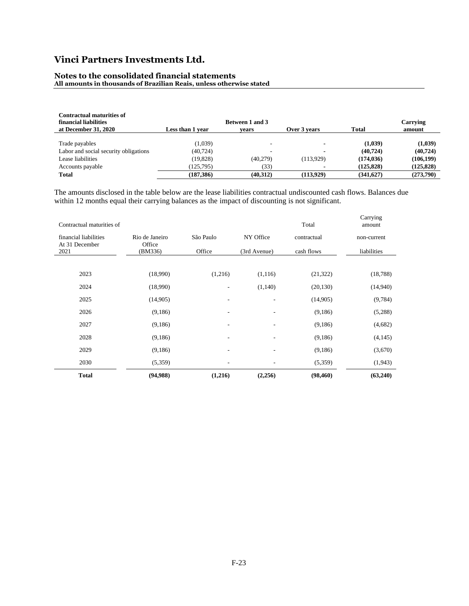## **Notes to the consolidated financial statements**

**All amounts in thousands of Brazilian Reais, unless otherwise stated**

| <b>Contractual maturities of</b><br>financial liabilities<br>at December 31, 2020 | Less than 1 year | Between 1 and 3<br>vears | Over 3 years   | <b>Total</b> | Carrying<br>amount |
|-----------------------------------------------------------------------------------|------------------|--------------------------|----------------|--------------|--------------------|
|                                                                                   |                  |                          |                |              |                    |
| Trade payables                                                                    | (1,039)          |                          | $\blacksquare$ | (1,039)      | (1,039)            |
| Labor and social security obligations                                             | (40, 724)        |                          | -              | (40, 724)    | (40, 724)          |
| Lease liabilities                                                                 | (19, 828)        | (40,279)                 | (113,929)      | (174, 036)   | (106, 199)         |
| Accounts payable                                                                  | (125, 795)       | (33)                     |                | (125, 828)   | (125, 828)         |
| <b>Total</b>                                                                      | (187, 386)       | (40,312)                 | (113,929)      | (341,627)    | (273,790)          |

The amounts disclosed in the table below are the lease liabilities contractual undiscounted cash flows. Balances due within 12 months equal their carrying balances as the impact of discounting is not significant.

| Contractual maturities of               |                          |                          |                          | Total       | Carrying<br>amount |
|-----------------------------------------|--------------------------|--------------------------|--------------------------|-------------|--------------------|
| financial liabilities<br>At 31 December | Rio de Janeiro<br>Office | São Paulo                | NY Office                | contractual | non-current        |
| 2021                                    | (BM336)                  | Office                   | (3rd Avenue)             | cash flows  | liabilities        |
|                                         |                          |                          |                          |             |                    |
| 2023                                    | (18,990)                 | (1,216)                  | (1, 116)                 | (21, 322)   | (18, 788)          |
| 2024                                    | (18,990)                 | $\overline{\phantom{a}}$ | (1,140)                  | (20, 130)   | (14,940)           |
| 2025                                    | (14,905)                 |                          |                          | (14,905)    | (9, 784)           |
| 2026                                    | (9,186)                  |                          | $\overline{a}$           | (9,186)     | (5,288)            |
| 2027                                    | (9,186)                  | ٠                        | $\overline{\phantom{0}}$ | (9,186)     | (4,682)            |
| 2028                                    | (9,186)                  |                          |                          | (9,186)     | (4,145)            |
| 2029                                    | (9,186)                  |                          | ٠                        | (9,186)     | (3,670)            |
| 2030                                    | (5,359)                  |                          |                          | (5,359)     | (1,943)            |
| <b>Total</b>                            | (94,988)                 | (1,216)                  | (2,256)                  | (98, 460)   | (63,240)           |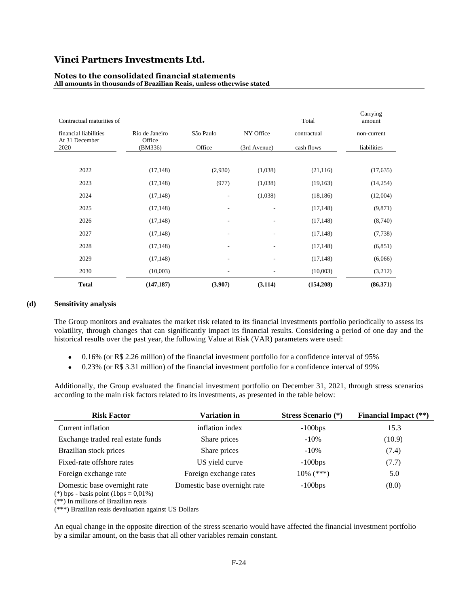| Contractual maturities of |                   |                          |                          | Total       | Carrying<br>amount |
|---------------------------|-------------------|--------------------------|--------------------------|-------------|--------------------|
| financial liabilities     | Rio de Janeiro    | São Paulo                | NY Office                | contractual | non-current        |
| At 31 December<br>2020    | Office<br>(BM336) | Office                   | (3rd Avenue)             | cash flows  | liabilities        |
|                           |                   |                          |                          |             |                    |
| 2022                      | (17, 148)         | (2,930)                  | (1,038)                  | (21, 116)   | (17, 635)          |
| 2023                      | (17, 148)         | (977)                    | (1,038)                  | (19, 163)   | (14,254)           |
| 2024                      | (17, 148)         | ۰.                       | (1,038)                  | (18, 186)   | (12,004)           |
| 2025                      | (17, 148)         | ٠                        | $\overline{\phantom{a}}$ | (17, 148)   | (9,871)            |
| 2026                      | (17, 148)         | ۰                        |                          | (17, 148)   | (8,740)            |
| 2027                      | (17, 148)         | $\overline{\phantom{0}}$ | $\overline{\phantom{a}}$ | (17, 148)   | (7, 738)           |
| 2028                      | (17, 148)         | $\overline{\phantom{0}}$ | ٠                        | (17, 148)   | (6, 851)           |
| 2029                      | (17, 148)         | ٠                        | $\overline{\phantom{a}}$ | (17, 148)   | (6,066)            |
| 2030                      | (10,003)          |                          |                          | (10,003)    | (3,212)            |
| <b>Total</b>              | (147, 187)        | (3,907)                  | (3, 114)                 | (154, 208)  | (86,371)           |

# **Notes to the consolidated financial statements**

**All amounts in thousands of Brazilian Reais, unless otherwise stated**

### **(d) Sensitivity analysis**

The Group monitors and evaluates the market risk related to its financial investments portfolio periodically to assess its volatility, through changes that can significantly impact its financial results. Considering a period of one day and the historical results over the past year, the following Value at Risk (VAR) parameters were used:

- 0.16% (or R\$ 2.26 million) of the financial investment portfolio for a confidence interval of 95%
- 0.23% (or R\$ 3.31 million) of the financial investment portfolio for a confidence interval of 99%

Additionally, the Group evaluated the financial investment portfolio on December 31, 2021, through stress scenarios according to the main risk factors related to its investments, as presented in the table below:

| <b>Risk Factor</b>                                                         | <b>Variation in</b>          | <b>Stress Scenario</b> (*) | <b>Financial Impact</b> (**) |
|----------------------------------------------------------------------------|------------------------------|----------------------------|------------------------------|
| Current inflation                                                          | inflation index              | $-100bps$                  | 15.3                         |
| Exchange traded real estate funds                                          | Share prices                 | $-10\%$                    | (10.9)                       |
| Brazilian stock prices                                                     | Share prices                 | $-10\%$                    | (7.4)                        |
| Fixed-rate offshore rates                                                  | US yield curve               | $-100bps$                  | (7.7)                        |
| Foreign exchange rate                                                      | Foreign exchange rates       | $10\%$ (***)               | 5.0                          |
| Domestic base overnight rate<br>$(*)$ hns - hasis noint (1 hns $-0.01\%$ ) | Domestic base overnight rate | $-100bps$                  | (8.0)                        |

bps - basis point (1bps  $= 0.01\%$ )

(\*\*) In millions of Brazilian reais (\*\*\*) Brazilian reais devaluation against US Dollars

An equal change in the opposite direction of the stress scenario would have affected the financial investment portfolio by a similar amount, on the basis that all other variables remain constant.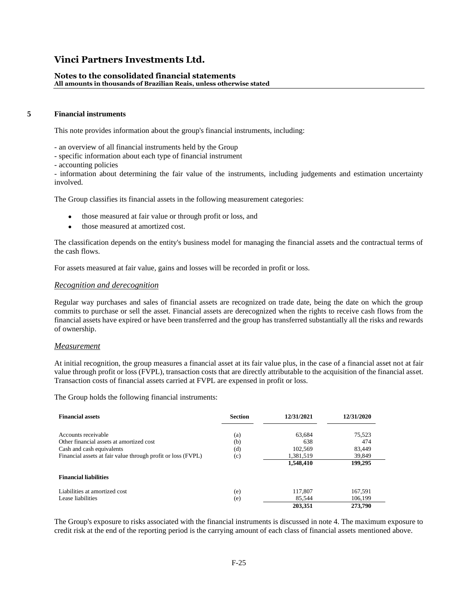### **Notes to the consolidated financial statements**

**All amounts in thousands of Brazilian Reais, unless otherwise stated**

### **5 Financial instruments**

This note provides information about the group's financial instruments, including:

- an overview of all financial instruments held by the Group
- specific information about each type of financial instrument
- accounting policies

- information about determining the fair value of the instruments, including judgements and estimation uncertainty involved.

The Group classifies its financial assets in the following measurement categories:

- those measured at fair value or through profit or loss, and
- those measured at amortized cost.

The classification depends on the entity's business model for managing the financial assets and the contractual terms of the cash flows.

For assets measured at fair value, gains and losses will be recorded in profit or loss.

### *Recognition and derecognition*

Regular way purchases and sales of financial assets are recognized on trade date, being the date on which the group commits to purchase or sell the asset. Financial assets are derecognized when the rights to receive cash flows from the financial assets have expired or have been transferred and the group has transferred substantially all the risks and rewards of ownership.

### *Measurement*

At initial recognition, the group measures a financial asset at its fair value plus, in the case of a financial asset not at fair value through profit or loss (FVPL), transaction costs that are directly attributable to the acquisition of the financial asset. Transaction costs of financial assets carried at FVPL are expensed in profit or loss.

The Group holds the following financial instruments:

| <b>Financial assets</b>                                      | <b>Section</b> | 12/31/2021 | 12/31/2020 |
|--------------------------------------------------------------|----------------|------------|------------|
| Accounts receivable                                          | (a)            | 63.684     | 75,523     |
| Other financial assets at amortized cost                     | (b)            | 638        | 474        |
| Cash and cash equivalents                                    | (d)            | 102,569    | 83,449     |
| Financial assets at fair value through profit or loss (FVPL) | (c)            | 1,381,519  | 39,849     |
|                                                              |                | 1,548,410  | 199,295    |
| <b>Financial liabilities</b>                                 |                |            |            |
| Liabilities at amortized cost                                | (e)            | 117,807    | 167.591    |
| Lease liabilities                                            | (e)            | 85.544     | 106.199    |
|                                                              |                | 203.351    | 273,790    |

The Group's exposure to risks associated with the financial instruments is discussed in note 4. The maximum exposure to credit risk at the end of the reporting period is the carrying amount of each class of financial assets mentioned above.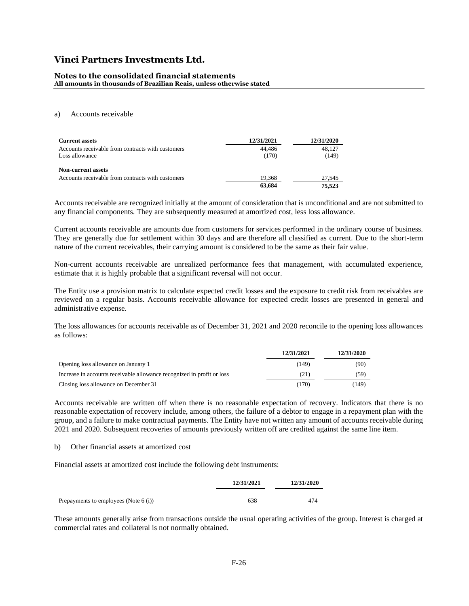### **Notes to the consolidated financial statements**

**All amounts in thousands of Brazilian Reais, unless otherwise stated**

#### a) Accounts receivable

| <b>Current assets</b>                             | 12/31/2021 | 12/31/2020 |
|---------------------------------------------------|------------|------------|
| Accounts receivable from contracts with customers | 44,486     | 48.127     |
| Loss allowance                                    | (170)      | (149)      |
| <b>Non-current assets</b>                         |            |            |
| Accounts receivable from contracts with customers | 19.368     | 27.545     |
|                                                   | 63.684     | 75.523     |

Accounts receivable are recognized initially at the amount of consideration that is unconditional and are not submitted to any financial components. They are subsequently measured at amortized cost, less loss allowance.

Current accounts receivable are amounts due from customers for services performed in the ordinary course of business. They are generally due for settlement within 30 days and are therefore all classified as current. Due to the short-term nature of the current receivables, their carrying amount is considered to be the same as their fair value.

Non-current accounts receivable are unrealized performance fees that management, with accumulated experience, estimate that it is highly probable that a significant reversal will not occur.

The Entity use a provision matrix to calculate expected credit losses and the exposure to credit risk from receivables are reviewed on a regular basis. Accounts receivable allowance for expected credit losses are presented in general and administrative expense.

The loss allowances for accounts receivable as of December 31, 2021 and 2020 reconcile to the opening loss allowances as follows:

|                                                                        | 12/31/2021 | 12/31/2020 |
|------------------------------------------------------------------------|------------|------------|
| Opening loss allowance on January 1                                    | (149)      | (90)       |
| Increase in accounts receivable allowance recognized in profit or loss | (21)       | (59)       |
| Closing loss allowance on December 31                                  | (170)      | (149       |

Accounts receivable are written off when there is no reasonable expectation of recovery. Indicators that there is no reasonable expectation of recovery include, among others, the failure of a debtor to engage in a repayment plan with the group, and a failure to make contractual payments. The Entity have not written any amount of accounts receivable during 2021 and 2020. Subsequent recoveries of amounts previously written off are credited against the same line item.

#### b) Other financial assets at amortized cost

Financial assets at amortized cost include the following debt instruments:

|                                         | 12/31/2021 | 12/31/2020 |
|-----------------------------------------|------------|------------|
| Prepayments to employees (Note $6$ (i)) | 638        | 474        |

These amounts generally arise from transactions outside the usual operating activities of the group. Interest is charged at commercial rates and collateral is not normally obtained.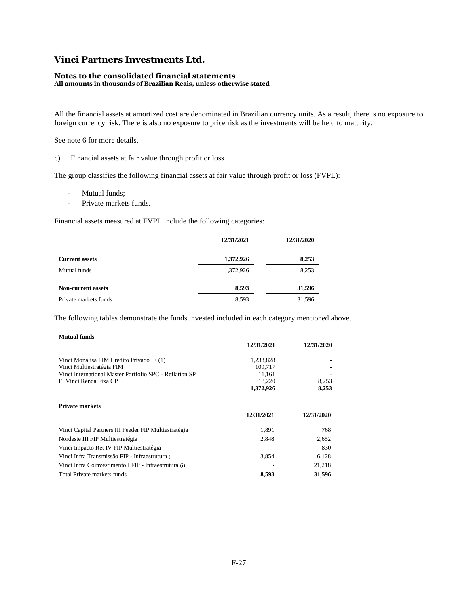### **Notes to the consolidated financial statements**

**All amounts in thousands of Brazilian Reais, unless otherwise stated**

All the financial assets at amortized cost are denominated in Brazilian currency units. As a result, there is no exposure to foreign currency risk. There is also no exposure to price risk as the investments will be held to maturity.

See note 6 for more details.

c) Financial assets at fair value through profit or loss

The group classifies the following financial assets at fair value through profit or loss (FVPL):

- Mutual funds;
- Private markets funds.

Financial assets measured at FVPL include the following categories:

|                           | 12/31/2021 | 12/31/2020 |
|---------------------------|------------|------------|
| <b>Current assets</b>     | 1,372,926  | 8,253      |
| Mutual funds              | 1,372,926  | 8,253      |
| <b>Non-current assets</b> | 8,593      | 31,596     |
| Private markets funds     | 8,593      | 31,596     |

The following tables demonstrate the funds invested included in each category mentioned above.

#### **Mutual funds**

|                                                         | 12/31/2021 | 12/31/2020 |
|---------------------------------------------------------|------------|------------|
| Vinci Monalisa FIM Crédito Privado IE (1)               | 1,233,828  |            |
| Vinci Multiestratégia FIM                               | 109.717    |            |
| Vinci International Master Portfolio SPC - Reflation SP | 11,161     |            |
| FI Vinci Renda Fixa CP                                  | 18,220     | 8,253      |
|                                                         | 1,372,926  | 8,253      |
| <b>Private markets</b>                                  |            |            |
|                                                         | 12/31/2021 | 12/31/2020 |
| Vinci Capital Partners III Feeder FIP Multiestratégia   | 1,891      | 768        |
| Nordeste III FIP Multiestratégia                        | 2,848      | 2,652      |
| Vinci Impacto Ret IV FIP Multiestratégia                |            | 830        |
| Vinci Infra Transmissão FIP - Infraestrutura (i)        | 3,854      | 6,128      |
| Vinci Infra Coinvestimento I FIP - Infraestrutura (i)   |            | 21,218     |
| Total Private markets funds                             | 8,593      | 31,596     |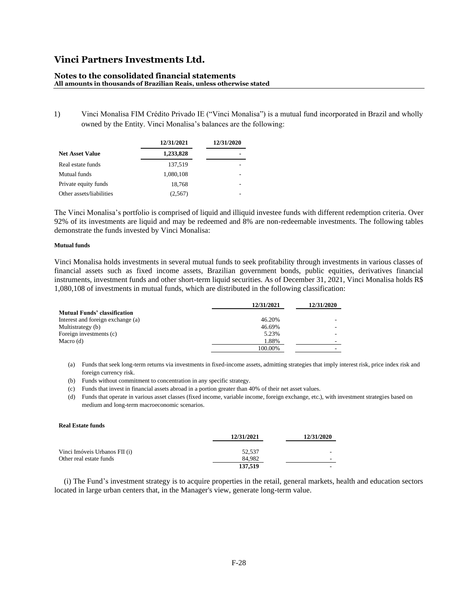# **Notes to the consolidated financial statements**

**All amounts in thousands of Brazilian Reais, unless otherwise stated**

1) Vinci Monalisa FIM Crédito Privado IE ("Vinci Monalisa") is a mutual fund incorporated in Brazil and wholly owned by the Entity. Vinci Monalisa's balances are the following:

|                          | 12/31/2021 | 12/31/2020 |
|--------------------------|------------|------------|
| <b>Net Asset Value</b>   | 1,233,828  |            |
| Real estate funds        | 137,519    |            |
| Mutual funds             | 1,080,108  |            |
| Private equity funds     | 18,768     |            |
| Other assets/liabilities | (2,567)    |            |

The Vinci Monalisa's portfolio is comprised of liquid and illiquid investee funds with different redemption criteria. Over 92% of its investments are liquid and may be redeemed and 8% are non-redeemable investments. The following tables demonstrate the funds invested by Vinci Monalisa:

#### **Mutual funds**

Vinci Monalisa holds investments in several mutual funds to seek profitability through investments in various classes of financial assets such as fixed income assets, Brazilian government bonds, public equities, derivatives financial instruments, investment funds and other short-term liquid securities. As of December 31, 2021, Vinci Monalisa holds R\$ 1,080,108 of investments in mutual funds, which are distributed in the following classification:

|                                     | 12/31/2021 | 12/31/2020      |
|-------------------------------------|------------|-----------------|
| <b>Mutual Funds' classification</b> |            |                 |
| Interest and foreign exchange (a)   | 46.20%     |                 |
| Multistrategy (b)                   | 46.69%     |                 |
| Foreign investments (c)             | 5.23%      | $\qquad \qquad$ |
| Macro (d)                           | 1.88%      |                 |
|                                     | 100.00%    | -               |

- (a) Funds that seek long-term returns via investments in fixed-income assets, admitting strategies that imply interest risk, price index risk and foreign currency risk.
- (b) Funds without commitment to concentration in any specific strategy.
- (c) Funds that invest in financial assets abroad in a portion greater than 40% of their net asset values.
- (d) Funds that operate in various asset classes (fixed income, variable income, foreign exchange, etc.), with investment strategies based on medium and long-term macroeconomic scenarios.

#### **Real Estate funds**

|                               | 12/31/2021 | 12/31/2020 |
|-------------------------------|------------|------------|
| Vinci Imóveis Urbanos FII (i) | 52.537     | -          |
| Other real estate funds       | 84.982     | -          |
|                               | 137.519    | -          |

 (i) The Fund's investment strategy is to acquire properties in the retail, general markets, health and education sectors located in large urban centers that, in the Manager's view, generate long-term value.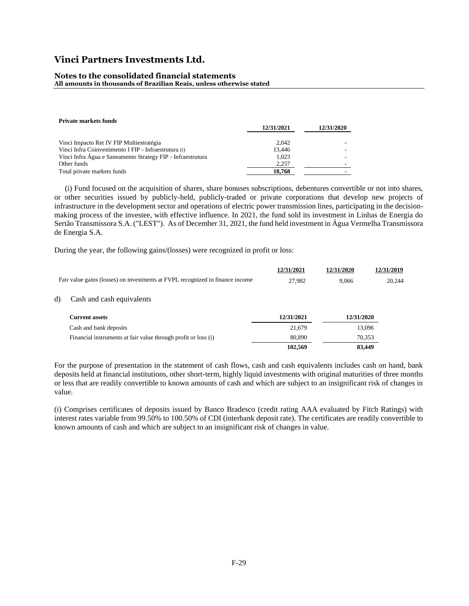### **Notes to the consolidated financial statements**

**All amounts in thousands of Brazilian Reais, unless otherwise stated**

| <b>Private markets funds</b>                                |            |            |
|-------------------------------------------------------------|------------|------------|
|                                                             | 12/31/2021 | 12/31/2020 |
| Vinci Impacto Ret IV FIP Multiestratégia                    | 2.042      |            |
| Vinci Infra Coinvestimento I FIP - Infraestrutura (i)       | 13.446     |            |
| Vinci Infra Água e Saneamento Strategy FIP - Infraestrutura | 1.023      |            |
| Other funds                                                 | 2.257      |            |
| Total private markets funds                                 | 18,768     |            |

 (i) Fund focused on the acquisition of shares, share bonuses subscriptions, debentures convertible or not into shares, or other securities issued by publicly-held, publicly-traded or private corporations that develop new projects of infrastructure in the development sector and operations of electric power transmission lines, participating in the decisionmaking process of the investee, with effective influence. In 2021, the fund sold its investment in Linhas de Energia do Sertão Transmissora S.A. ("LEST"). As of December 31, 2021, the fund held investment in Água Vermelha Transmissora de Energia S.A.

During the year, the following gains/(losses) were recognized in profit or loss:

|    |                                                                               | 12/31/2021 | 12/31/2020 | 12/31/2019 |
|----|-------------------------------------------------------------------------------|------------|------------|------------|
|    | Fair value gains (losses) on investments at FVPL recognized in finance income | 27.982     | 9.066      | 20.244     |
| d) | Cash and cash equivalents                                                     |            |            |            |
|    | <b>Current assets</b>                                                         | 12/31/2021 | 12/31/2020 |            |
|    | Cash and bank deposits                                                        | 21,679     | 13,096     |            |
|    | Financial instruments at fair value through profit or loss (i)                | 80,890     | 70,353     |            |
|    |                                                                               | 102,569    | 83,449     |            |

For the purpose of presentation in the statement of cash flows, cash and cash equivalents includes cash on hand, bank deposits held at financial institutions, other short-term, highly liquid investments with original maturities of three months or less that are readily convertible to known amounts of cash and which are subject to an insignificant risk of changes in value.

(i) Comprises certificates of deposits issued by Banco Bradesco (credit rating AAA evaluated by Fitch Ratings) with interest rates variable from 99.50% to 100.50% of CDI (interbank deposit rate). The certificates are readily convertible to known amounts of cash and which are subject to an insignificant risk of changes in value.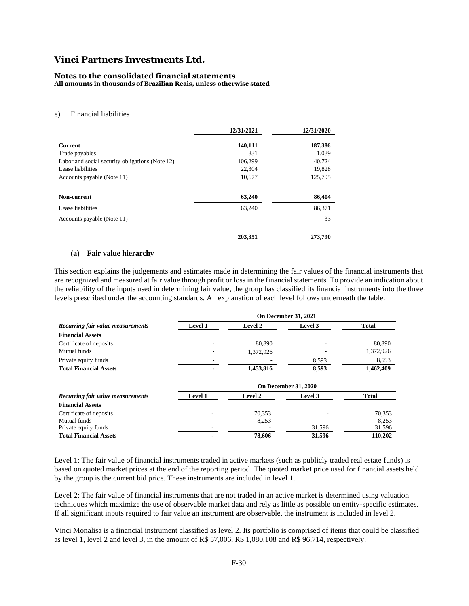### **Notes to the consolidated financial statements**

**All amounts in thousands of Brazilian Reais, unless otherwise stated**

#### e) Financial liabilities

|                                                 | 12/31/2021 | 12/31/2020 |
|-------------------------------------------------|------------|------------|
| <b>Current</b>                                  | 140,111    | 187,386    |
| Trade payables                                  | 831        | 1.039      |
| Labor and social security obligations (Note 12) | 106,299    | 40,724     |
| Lease liabilities                               | 22,304     | 19,828     |
| Accounts payable (Note 11)                      | 10,677     | 125,795    |
| Non-current                                     | 63,240     | 86,404     |
| Lease liabilities                               | 63,240     | 86,371     |
| Accounts payable (Note 11)                      |            | 33         |
|                                                 | 203,351    | 273,790    |

#### **(a) Fair value hierarchy**

This section explains the judgements and estimates made in determining the fair values of the financial instruments that are recognized and measured at fair value through profit or loss in the financial statements. To provide an indication about the reliability of the inputs used in determining fair value, the group has classified its financial instruments into the three levels prescribed under the accounting standards. An explanation of each level follows underneath the table.

|                                   | On December 31, 2021        |           |         |              |  |  |  |
|-----------------------------------|-----------------------------|-----------|---------|--------------|--|--|--|
| Recurring fair value measurements | <b>Level 1</b>              | Level 2   | Level 3 | <b>Total</b> |  |  |  |
| <b>Financial Assets</b>           |                             |           |         |              |  |  |  |
| Certificate of deposits           |                             | 80,890    |         | 80,890       |  |  |  |
| Mutual funds                      |                             | 1,372,926 |         | 1,372,926    |  |  |  |
| Private equity funds              |                             |           | 8,593   | 8,593        |  |  |  |
| <b>Total Financial Assets</b>     |                             | 1,453,816 | 8,593   | 1,462,409    |  |  |  |
|                                   | <b>On December 31, 2020</b> |           |         |              |  |  |  |
| Recurring fair value measurements | <b>Level 1</b>              | Level 2   | Level 3 | <b>Total</b> |  |  |  |
| <b>Financial Assets</b>           |                             |           |         |              |  |  |  |
| Certificate of deposits           |                             | 70.353    |         | 70,353       |  |  |  |
| Mutual funds                      |                             | 8,253     |         | 8,253        |  |  |  |
| Private equity funds              |                             |           | 31,596  | 31,596       |  |  |  |
| <b>Total Financial Assets</b>     |                             | 78,606    | 31,596  | 110,202      |  |  |  |

Level 1: The fair value of financial instruments traded in active markets (such as publicly traded real estate funds) is based on quoted market prices at the end of the reporting period. The quoted market price used for financial assets held by the group is the current bid price. These instruments are included in level 1.

Level 2: The fair value of financial instruments that are not traded in an active market is determined using valuation techniques which maximize the use of observable market data and rely as little as possible on entity-specific estimates. If all significant inputs required to fair value an instrument are observable, the instrument is included in level 2.

Vinci Monalisa is a financial instrument classified as level 2. Its portfolio is comprised of items that could be classified as level 1, level 2 and level 3, in the amount of R\$ 57,006, R\$ 1,080,108 and R\$ 96,714, respectively.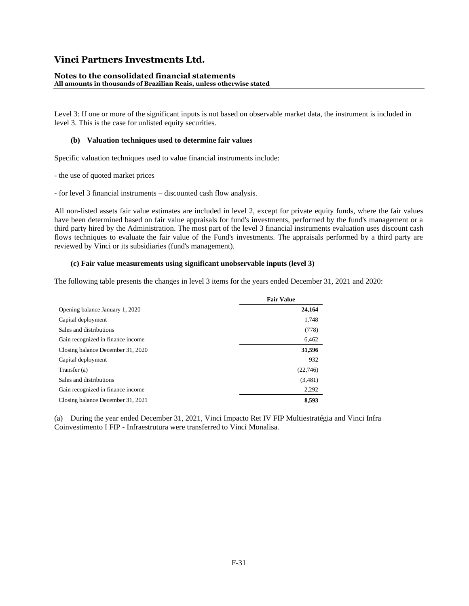### **Notes to the consolidated financial statements**

**All amounts in thousands of Brazilian Reais, unless otherwise stated**

Level 3: If one or more of the significant inputs is not based on observable market data, the instrument is included in level 3. This is the case for unlisted equity securities.

### **(b) Valuation techniques used to determine fair values**

Specific valuation techniques used to value financial instruments include:

- the use of quoted market prices

- for level 3 financial instruments – discounted cash flow analysis.

All non-listed assets fair value estimates are included in level 2, except for private equity funds, where the fair values have been determined based on fair value appraisals for fund's investments, performed by the fund's management or a third party hired by the Administration. The most part of the level 3 financial instruments evaluation uses discount cash flows techniques to evaluate the fair value of the Fund's investments. The appraisals performed by a third party are reviewed by Vinci or its subsidiaries (fund's management).

### **(c) Fair value measurements using significant unobservable inputs (level 3)**

The following table presents the changes in level 3 items for the years ended December 31, 2021 and 2020:

|                                   | <b>Fair Value</b> |
|-----------------------------------|-------------------|
| Opening balance January 1, 2020   | 24,164            |
| Capital deployment                | 1,748             |
| Sales and distributions           | (778)             |
| Gain recognized in finance income | 6,462             |
| Closing balance December 31, 2020 | 31,596            |
| Capital deployment                | 932               |
| Transfer (a)                      | (22,746)          |
| Sales and distributions           | (3,481)           |
| Gain recognized in finance income | 2,292             |
| Closing balance December 31, 2021 | 8.593             |

(a) During the year ended December 31, 2021, Vinci Impacto Ret IV FIP Multiestratégia and Vinci Infra Coinvestimento I FIP - Infraestrutura were transferred to Vinci Monalisa.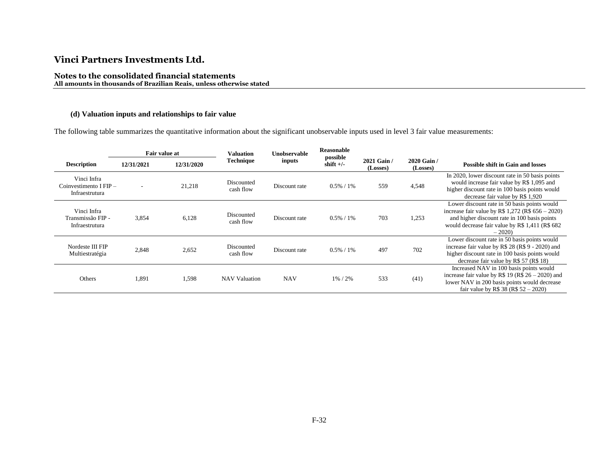#### **Notes to the consolidated financial statements All amounts in thousands of Brazilian Reais, unless otherwise stated**

### **(d) Valuation inputs and relationships to fair value**

The following table summarizes the quantitative information about the significant unobservable inputs used in level 3 fair value measurements:

| Fair value at                                               |            | <b>Valuation</b> | Unobservable            | <b>Reasonable</b><br>possible |               |                         |                         |                                                                                                                                                                                                                     |
|-------------------------------------------------------------|------------|------------------|-------------------------|-------------------------------|---------------|-------------------------|-------------------------|---------------------------------------------------------------------------------------------------------------------------------------------------------------------------------------------------------------------|
| <b>Description</b>                                          | 12/31/2021 | 12/31/2020       | Technique               | inputs                        | shift $+/-$   | 2021 Gain /<br>(Losses) | 2020 Gain /<br>(Losses) | <b>Possible shift in Gain and losses</b>                                                                                                                                                                            |
| Vinci Infra<br>Coinvestimento $I$ FIP $-$<br>Infraestrutura |            | 21,218           | Discounted<br>cash flow | Discount rate                 | $0.5\% / 1\%$ | 559                     | 4,548                   | In 2020, lower discount rate in 50 basis points<br>would increase fair value by R\$ 1,095 and<br>higher discount rate in 100 basis points would<br>decrease fair value by R\$ 1,920                                 |
| Vinci Infra<br>Transmissão FIP -<br>Infraestrutura          | 3,854      | 6,128            | Discounted<br>cash flow | Discount rate                 | $0.5\% / 1\%$ | 703                     | 1,253                   | Lower discount rate in 50 basis points would<br>increase fair value by R\$ 1,272 (R\$ $656 - 2020$ )<br>and higher discount rate in 100 basis points<br>would decrease fair value by R\$ 1,411 (R\$ 682)<br>$-2020$ |
| Nordeste III FIP<br>Multiestratégia                         | 2,848      | 2,652            | Discounted<br>cash flow | Discount rate                 | $0.5\% / 1\%$ | 497                     | 702                     | Lower discount rate in 50 basis points would<br>increase fair value by R\$ 28 (R\$ 9 - 2020) and<br>higher discount rate in 100 basis points would<br>decrease fair value by $R$57 (R$18)$                          |
| <b>Others</b>                                               | 1,891      | 1,598            | <b>NAV</b> Valuation    | <b>NAV</b>                    | $1\% / 2\%$   | 533                     | (41)                    | Increased NAV in 100 basis points would<br>increase fair value by R\$ 19 (R\$ $26 - 2020$ ) and<br>lower NAV in 200 basis points would decrease<br>fair value by R\$ 38 (R\$ $52 - 2020$ )                          |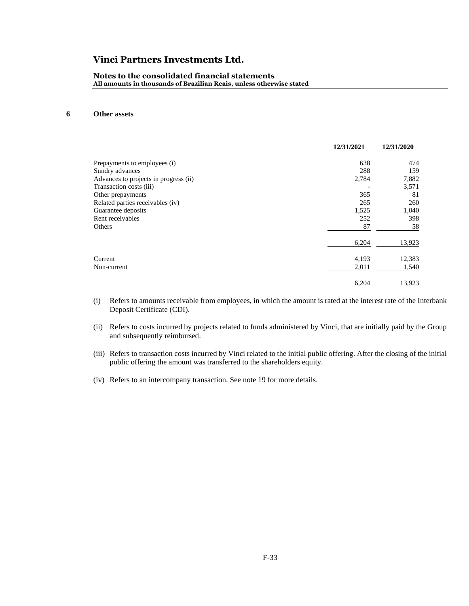#### **Notes to the consolidated financial statements All amounts in thousands of Brazilian Reais, unless otherwise stated**

### **6 Other assets**

|                                       | 12/31/2021 | 12/31/2020 |
|---------------------------------------|------------|------------|
|                                       |            |            |
| Prepayments to employees (i)          | 638        | 474        |
| Sundry advances                       | 288        | 159        |
| Advances to projects in progress (ii) | 2,784      | 7,882      |
| Transaction costs (iii)               |            | 3,571      |
| Other prepayments                     | 365        | 81         |
| Related parties receivables (iv)      | 265        | 260        |
| Guarantee deposits                    | 1,525      | 1,040      |
| Rent receivables                      | 252        | 398        |
| Others                                | 87         | 58         |
|                                       | 6,204      | 13,923     |
| Current                               | 4,193      | 12,383     |
| Non-current                           | 2,011      | 1,540      |
|                                       | 6,204      | 13,923     |

(i) Refers to amounts receivable from employees, in which the amount is rated at the interest rate of the Interbank Deposit Certificate (CDI).

(ii) Refers to costs incurred by projects related to funds administered by Vinci, that are initially paid by the Group and subsequently reimbursed.

(iii) Refers to transaction costs incurred by Vinci related to the initial public offering. After the closing of the initial public offering the amount was transferred to the shareholders equity.

(iv) Refers to an intercompany transaction. See note 19 for more details.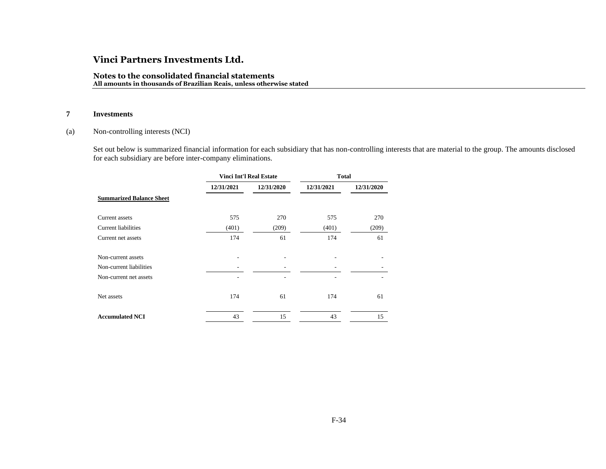#### **Notes to the consolidated financial statements All amounts in thousands of Brazilian Reais, unless otherwise stated**

### **7 Investments**

### (a) Non-controlling interests (NCI)

Set out below is summarized financial information for each subsidiary that has non-controlling interests that are material to the group. The amounts disclosed for each subsidiary are before inter-company eliminations.

|                                 |            | <b>Vinci Int'l Real Estate</b> | <b>Total</b> |            |  |
|---------------------------------|------------|--------------------------------|--------------|------------|--|
|                                 | 12/31/2021 | 12/31/2020                     | 12/31/2021   | 12/31/2020 |  |
| <b>Summarized Balance Sheet</b> |            |                                |              |            |  |
| Current assets                  | 575        | 270                            | 575          | 270        |  |
| <b>Current liabilities</b>      | (401)      | (209)                          | (401)        | (209)      |  |
| Current net assets              | 174        | 61                             | 174          | 61         |  |
| Non-current assets              |            |                                |              |            |  |
| Non-current liabilities         |            |                                |              |            |  |
| Non-current net assets          |            |                                |              |            |  |
| Net assets                      | 174        | 61                             | 174          | 61         |  |
| <b>Accumulated NCI</b>          | 43         | 15                             | 43           | 15         |  |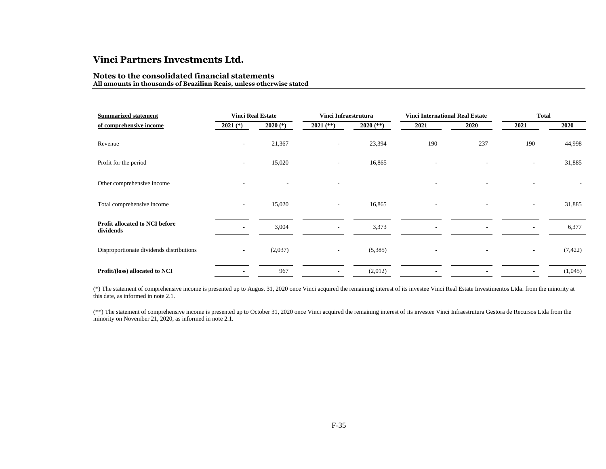# **Notes to the consolidated financial statements**

**All amounts in thousands of Brazilian Reais, unless otherwise stated**

| <b>Summarized statement</b>                        | <b>Vinci Real Estate</b> |            |                          | Vinci Infraestrutura |                          | <b>Vinci International Real Estate</b> | <b>Total</b> |          |
|----------------------------------------------------|--------------------------|------------|--------------------------|----------------------|--------------------------|----------------------------------------|--------------|----------|
| of comprehensive income                            | $2021$ (*)               | $2020 (*)$ | $2021$ (**)              | 2020 $(**)$          | 2021                     | 2020                                   | 2021         | 2020     |
| Revenue                                            | $\sim$                   | 21,367     | $\sim$                   | 23,394               | 190                      | 237                                    | 190          | 44,998   |
| Profit for the period                              | $\overline{\phantom{a}}$ | 15,020     | $\overline{\phantom{a}}$ | 16,865               |                          |                                        |              | 31,885   |
| Other comprehensive income                         |                          |            | ۰                        |                      | $\overline{\phantom{a}}$ | $\overline{\phantom{a}}$               |              |          |
| Total comprehensive income                         | $\sim$                   | 15,020     | $\overline{\phantom{a}}$ | 16,865               |                          | $\overline{\phantom{a}}$               | $\sim$       | 31,885   |
| <b>Profit allocated to NCI before</b><br>dividends | $\overline{\phantom{a}}$ | 3,004      | $\overline{\phantom{a}}$ | 3,373                |                          |                                        |              | 6,377    |
| Disproportionate dividends distributions           | $\overline{\phantom{a}}$ | (2,037)    | $\overline{\phantom{a}}$ | (5,385)              |                          |                                        |              | (7, 422) |
| Profit/(loss) allocated to NCI                     | $\overline{\phantom{a}}$ | 967        | $\overline{\phantom{a}}$ | (2,012)              |                          | $\overline{\phantom{a}}$               |              | (1,045)  |

(\*) The statement of comprehensive income is presented up to August 31, 2020 once Vinci acquired the remaining interest of its investee Vinci Real Estate Investimentos Ltda. from the minority at this date, as informed in note 2.1.

(\*\*) The statement of comprehensive income is presented up to October 31, 2020 once Vinci acquired the remaining interest of its investee Vinci Infraestrutura Gestora de Recursos Ltda from the minority on November 21, 2020, as informed in note 2.1.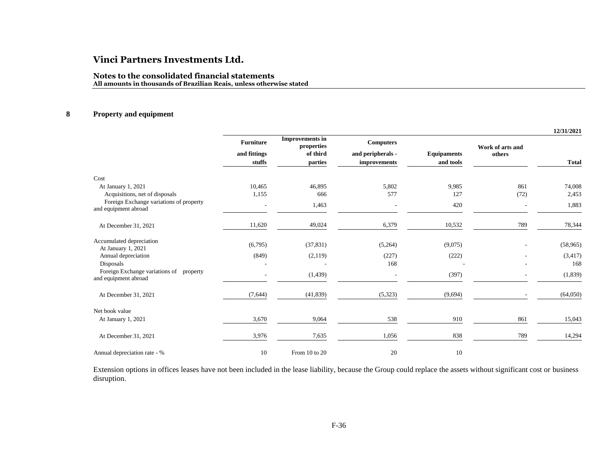#### **Notes to the consolidated financial statements All amounts in thousands of Brazilian Reais, unless otherwise stated**

### **8 Property and equipment**

|                                                                 |                                  |                                                  |                                       |                    |                            | 12/31/2021   |
|-----------------------------------------------------------------|----------------------------------|--------------------------------------------------|---------------------------------------|--------------------|----------------------------|--------------|
|                                                                 | <b>Furniture</b><br>and fittings | <b>Improvements</b> in<br>properties<br>of third | <b>Computers</b><br>and peripherals - | <b>Equipaments</b> | Work of arts and<br>others |              |
|                                                                 | stuffs                           | parties                                          | improvements                          | and tools          |                            | <b>Total</b> |
| Cost                                                            |                                  |                                                  |                                       |                    |                            |              |
| At January 1, 2021                                              | 10,465                           | 46,895                                           | 5,802                                 | 9,985              | 861                        | 74,008       |
| Acquisitions, net of disposals                                  | 1,155                            | 666                                              | 577                                   | 127                | (72)                       | 2,453        |
| Foreign Exchange variations of property<br>and equipment abroad | $\overline{\phantom{a}}$         | 1,463                                            | $\overline{\phantom{a}}$              | 420                |                            | 1,883        |
| At December 31, 2021                                            | 11,620                           | 49,024                                           | 6,379                                 | 10,532             | 789                        | 78,344       |
| Accumulated depreciation                                        | (6,795)                          | (37, 831)                                        | (5,264)                               | (9,075)            |                            | (58, 965)    |
| At January 1, 2021<br>Annual depreciation                       | (849)                            | (2,119)                                          | (227)                                 | (222)              |                            | (3, 417)     |
| Disposals                                                       |                                  |                                                  | 168                                   |                    |                            | 168          |
| Foreign Exchange variations of property                         |                                  |                                                  |                                       |                    |                            |              |
| and equipment abroad                                            |                                  | (1,439)                                          |                                       | (397)              |                            | (1, 839)     |
| At December 31, 2021                                            | (7, 644)                         | (41, 839)                                        | (5, 323)                              | (9,694)            |                            | (64,050)     |
| Net book value                                                  |                                  |                                                  |                                       |                    |                            |              |
| At January 1, 2021                                              | 3,670                            | 9,064                                            | 538                                   | 910                | 861                        | 15,043       |
| At December 31, 2021                                            | 3,976                            | 7,635                                            | 1,056                                 | 838                | 789                        | 14,294       |
| Annual depreciation rate - %                                    | 10                               | From 10 to 20                                    | 20                                    | 10                 |                            |              |

Extension options in offices leases have not been included in the lease liability, because the Group could replace the assets without significant cost or business disruption.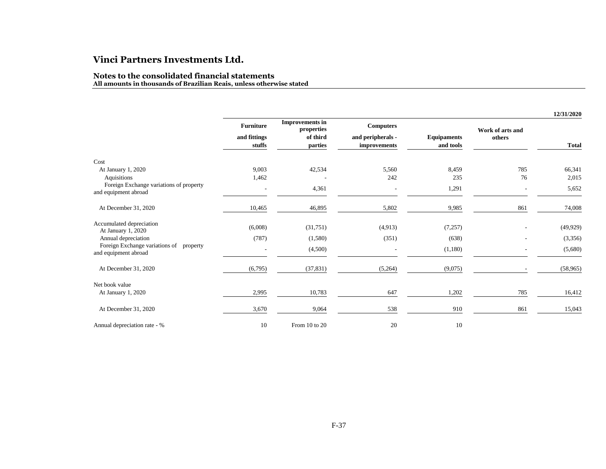# **Notes to the consolidated financial statements**

**All amounts in thousands of Brazilian Reais, unless otherwise stated**

|                                                                    |                          |                                      |                          |                    |                  | 12/31/2020   |
|--------------------------------------------------------------------|--------------------------|--------------------------------------|--------------------------|--------------------|------------------|--------------|
|                                                                    | <b>Furniture</b>         | <b>Improvements in</b><br>properties | <b>Computers</b>         |                    | Work of arts and |              |
|                                                                    | and fittings             | of third                             | and peripherals -        | <b>Equipaments</b> | others           |              |
|                                                                    | stuffs                   | parties                              | improvements             | and tools          |                  | <b>Total</b> |
| Cost                                                               |                          |                                      |                          |                    |                  |              |
| At January 1, 2020                                                 | 9,003                    | 42,534                               | 5,560                    | 8,459              | 785              | 66,341       |
| Aquisitions                                                        | 1,462                    |                                      | 242                      | 235                | 76               | 2,015        |
| Foreign Exchange variations of property<br>and equipment abroad    | $\overline{\phantom{a}}$ | 4,361                                | $\overline{\phantom{a}}$ | 1,291              |                  | 5,652        |
| At December 31, 2020                                               | 10,465                   | 46,895                               | 5,802                    | 9,985              | 861              | 74,008       |
| Accumulated depreciation<br>At January 1, 2020                     | (6,008)                  | (31,751)                             | (4,913)                  | (7,257)            |                  | (49, 929)    |
| Annual depreciation                                                | (787)                    | (1,580)                              | (351)                    | (638)              |                  | (3,356)      |
| Foreign Exchange variations of<br>property<br>and equipment abroad | $\overline{\phantom{a}}$ | (4,500)                              | $\overline{\phantom{a}}$ | (1,180)            |                  | (5,680)      |
|                                                                    |                          |                                      |                          |                    |                  |              |
| At December 31, 2020                                               | (6,795)                  | (37, 831)                            | (5,264)                  | (9,075)            |                  | (58,965)     |
| Net book value                                                     |                          |                                      |                          |                    |                  |              |
| At January 1, 2020                                                 | 2,995                    | 10,783                               | 647                      | 1,202              | 785              | 16,412       |
| At December 31, 2020                                               | 3,670                    | 9,064                                | 538                      | 910                | 861              | 15,043       |
| Annual depreciation rate - %                                       | 10                       | From 10 to 20                        | 20                       | 10                 |                  |              |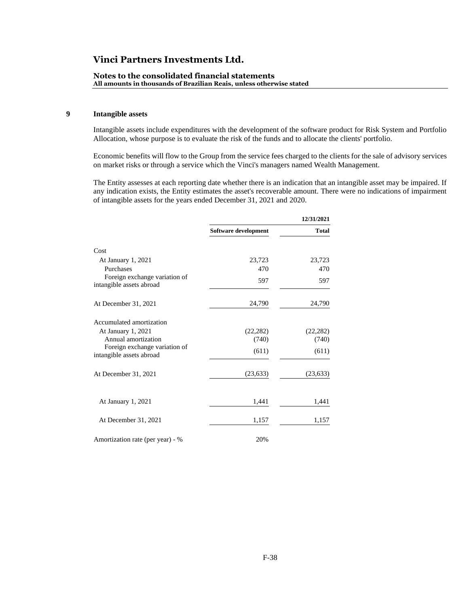#### **Notes to the consolidated financial statements All amounts in thousands of Brazilian Reais, unless otherwise stated**

### **9 Intangible assets**

Intangible assets include expenditures with the development of the software product for Risk System and Portfolio Allocation, whose purpose is to evaluate the risk of the funds and to allocate the clients' portfolio.

Economic benefits will flow to the Group from the service fees charged to the clients for the sale of advisory services on market risks or through a service which the Vinci's managers named Wealth Management.

The Entity assesses at each reporting date whether there is an indication that an intangible asset may be impaired. If any indication exists, the Entity estimates the asset's recoverable amount. There were no indications of impairment of intangible assets for the years ended December 31, 2021 and 2020.

|                                                           |                      | 12/31/2021   |
|-----------------------------------------------------------|----------------------|--------------|
|                                                           | Software development | <b>Total</b> |
| Cost                                                      |                      |              |
| At January 1, 2021                                        | 23,723               | 23,723       |
| Purchases                                                 | 470                  | 470          |
| Foreign exchange variation of<br>intangible assets abroad | 597                  | 597          |
| At December 31, 2021                                      | 24,790               | 24,790       |
| Accumulated amortization                                  |                      |              |
| At January 1, 2021                                        | (22, 282)            | (22, 282)    |
| Annual amortization                                       | (740)                | (740)        |
| Foreign exchange variation of<br>intangible assets abroad | (611)                | (611)        |
| At December 31, 2021                                      | (23, 633)            | (23, 633)    |
| At January 1, 2021                                        | 1,441                | 1,441        |
|                                                           |                      |              |
| At December 31, 2021                                      | 1,157                | 1,157        |
| Amortization rate (per year) - %                          | 20%                  |              |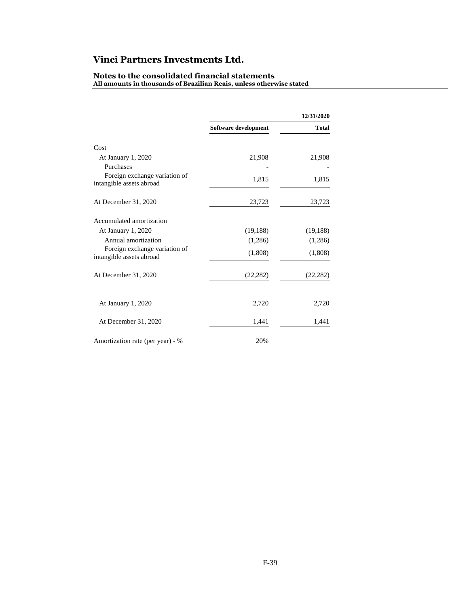|                                                           |                      | 12/31/2020   |
|-----------------------------------------------------------|----------------------|--------------|
|                                                           | Software development | <b>Total</b> |
| Cost                                                      |                      |              |
| At January 1, 2020                                        | 21,908               | 21,908       |
| Purchases                                                 |                      |              |
| Foreign exchange variation of<br>intangible assets abroad | 1,815                | 1,815        |
| At December 31, 2020                                      | 23,723               | 23,723       |
| Accumulated amortization                                  |                      |              |
| At January 1, 2020                                        | (19, 188)            | (19, 188)    |
| Annual amortization                                       | (1,286)              | (1,286)      |
| Foreign exchange variation of<br>intangible assets abroad | (1,808)              | (1,808)      |
| At December 31, 2020                                      | (22, 282)            | (22, 282)    |
| At January 1, 2020                                        | 2,720                | 2,720        |
| At December 31, 2020                                      | 1,441                | 1,441        |
| Amortization rate (per year) - %                          | 20%                  |              |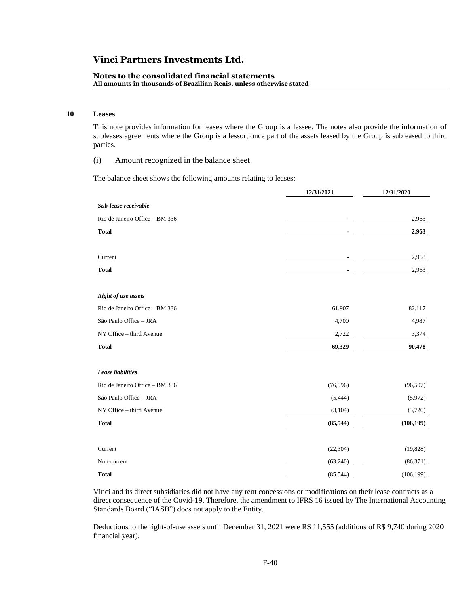#### **Notes to the consolidated financial statements All amounts in thousands of Brazilian Reais, unless otherwise stated**

### **10 Leases**

This note provides information for leases where the Group is a lessee. The notes also provide the information of subleases agreements where the Group is a lessor, once part of the assets leased by the Group is subleased to third parties.

#### (i) Amount recognized in the balance sheet

The balance sheet shows the following amounts relating to leases:

|                                | 12/31/2021 | 12/31/2020 |
|--------------------------------|------------|------------|
| Sub-lease receivable           |            |            |
| Rio de Janeiro Office - BM 336 |            | 2,963      |
| <b>Total</b>                   |            | 2,963      |
| Current                        |            | 2,963      |
| <b>Total</b>                   |            | 2,963      |
| <b>Right of use assets</b>     |            |            |
| Rio de Janeiro Office - BM 336 | 61,907     | 82,117     |
| São Paulo Office - JRA         | 4,700      | 4,987      |
| NY Office - third Avenue       | 2,722      | 3,374      |
| <b>Total</b>                   | 69,329     | 90,478     |
| <b>Lease</b> liabilities       |            |            |
| Rio de Janeiro Office - BM 336 | (76,996)   | (96, 507)  |
| São Paulo Office - JRA         | (5, 444)   | (5,972)    |
| NY Office - third Avenue       | (3,104)    | (3,720)    |
| <b>Total</b>                   | (85,544)   | (106, 199) |
| Current                        | (22, 304)  | (19, 828)  |
| Non-current                    | (63,240)   | (86, 371)  |
| <b>Total</b>                   | (85, 544)  | (106, 199) |

Vinci and its direct subsidiaries did not have any rent concessions or modifications on their lease contracts as a direct consequence of the Covid-19. Therefore, the amendment to IFRS 16 issued by The International Accounting Standards Board ("IASB") does not apply to the Entity.

Deductions to the right-of-use assets until December 31, 2021 were R\$ 11,555 (additions of R\$ 9,740 during 2020 financial year).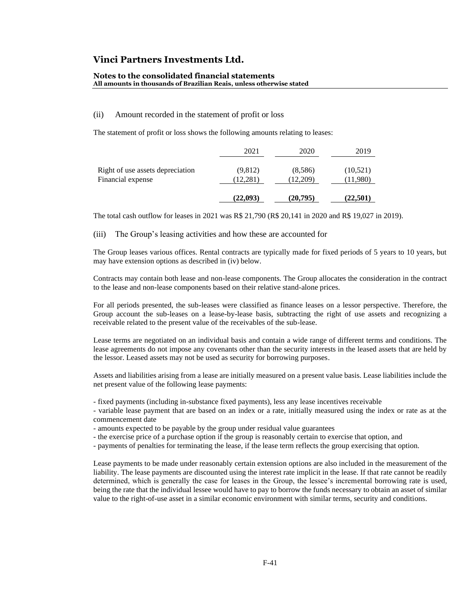#### **Notes to the consolidated financial statements All amounts in thousands of Brazilian Reais, unless otherwise stated**

#### (ii) Amount recorded in the statement of profit or loss

The statement of profit or loss shows the following amounts relating to leases:

|                                                       | (22,093)          | (20,795)            | (22, 501)           |
|-------------------------------------------------------|-------------------|---------------------|---------------------|
| Right of use assets depreciation<br>Financial expense | (9,812)<br>12,281 | (8,586)<br>(12,209) | (10,521)<br>11,980) |
|                                                       | 2021              | 2020                | 2019                |

The total cash outflow for leases in 2021 was R\$ 21,790 (R\$ 20,141 in 2020 and R\$ 19,027 in 2019).

(iii) The Group's leasing activities and how these are accounted for

The Group leases various offices. Rental contracts are typically made for fixed periods of 5 years to 10 years, but may have extension options as described in (iv) below.

Contracts may contain both lease and non-lease components. The Group allocates the consideration in the contract to the lease and non-lease components based on their relative stand-alone prices.

For all periods presented, the sub-leases were classified as finance leases on a lessor perspective. Therefore, the Group account the sub-leases on a lease-by-lease basis, subtracting the right of use assets and recognizing a receivable related to the present value of the receivables of the sub-lease.

Lease terms are negotiated on an individual basis and contain a wide range of different terms and conditions. The lease agreements do not impose any covenants other than the security interests in the leased assets that are held by the lessor. Leased assets may not be used as security for borrowing purposes.

Assets and liabilities arising from a lease are initially measured on a present value basis. Lease liabilities include the net present value of the following lease payments:

- fixed payments (including in-substance fixed payments), less any lease incentives receivable

- variable lease payment that are based on an index or a rate, initially measured using the index or rate as at the commencement date

- amounts expected to be payable by the group under residual value guarantees

- the exercise price of a purchase option if the group is reasonably certain to exercise that option, and

- payments of penalties for terminating the lease, if the lease term reflects the group exercising that option.

Lease payments to be made under reasonably certain extension options are also included in the measurement of the liability. The lease payments are discounted using the interest rate implicit in the lease. If that rate cannot be readily determined, which is generally the case for leases in the Group, the lessee's incremental borrowing rate is used, being the rate that the individual lessee would have to pay to borrow the funds necessary to obtain an asset of similar value to the right-of-use asset in a similar economic environment with similar terms, security and conditions.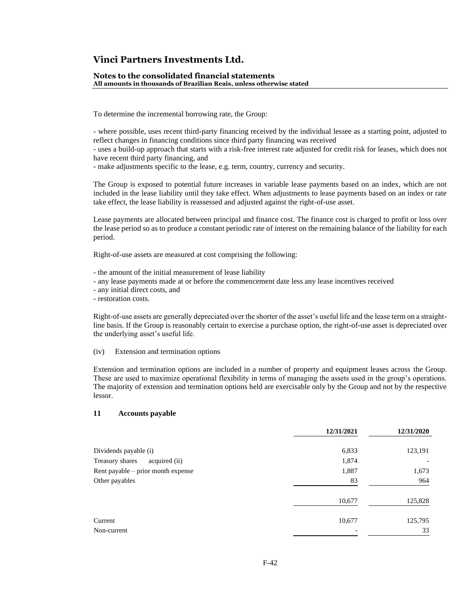#### **Notes to the consolidated financial statements All amounts in thousands of Brazilian Reais, unless otherwise stated**

To determine the incremental borrowing rate, the Group:

- where possible, uses recent third-party financing received by the individual lessee as a starting point, adjusted to reflect changes in financing conditions since third party financing was received

- uses a build-up approach that starts with a risk-free interest rate adjusted for credit risk for leases, which does not have recent third party financing, and

- make adjustments specific to the lease, e.g. term, country, currency and security.

The Group is exposed to potential future increases in variable lease payments based on an index, which are not included in the lease liability until they take effect. When adjustments to lease payments based on an index or rate take effect, the lease liability is reassessed and adjusted against the right-of-use asset.

Lease payments are allocated between principal and finance cost. The finance cost is charged to profit or loss over the lease period so as to produce a constant periodic rate of interest on the remaining balance of the liability for each period.

Right-of-use assets are measured at cost comprising the following:

- the amount of the initial measurement of lease liability
- any lease payments made at or before the commencement date less any lease incentives received
- any initial direct costs, and

- restoration costs.

Right-of-use assets are generally depreciated over the shorter of the asset's useful life and the lease term on a straightline basis. If the Group is reasonably certain to exercise a purchase option, the right-of-use asset is depreciated over the underlying asset's useful life.

(iv) Extension and termination options

Extension and termination options are included in a number of property and equipment leases across the Group. These are used to maximize operational flexibility in terms of managing the assets used in the group's operations. The majority of extension and termination options held are exercisable only by the Group and not by the respective lessor.

#### **11 Accounts payable**

| 12/31/2021 | 12/31/2020 |
|------------|------------|
| 6,833      | 123,191    |
| 1,874      |            |
| 1,887      | 1,673      |
| 83         | 964        |
| 10,677     | 125,828    |
| 10,677     | 125,795    |
|            | 33         |
|            |            |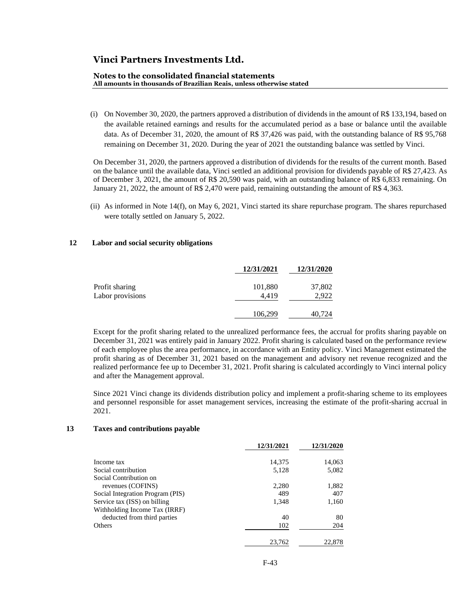#### **Notes to the consolidated financial statements All amounts in thousands of Brazilian Reais, unless otherwise stated**

(i) On November 30, 2020, the partners approved a distribution of dividends in the amount of R\$ 133,194, based on the available retained earnings and results for the accumulated period as a base or balance until the available data. As of December 31, 2020, the amount of R\$ 37,426 was paid, with the outstanding balance of R\$ 95,768 remaining on December 31, 2020. During the year of 2021 the outstanding balance was settled by Vinci.

On December 31, 2020, the partners approved a distribution of dividends for the results of the current month. Based on the balance until the available data, Vinci settled an additional provision for dividends payable of R\$ 27,423. As of December 3, 2021, the amount of R\$ 20,590 was paid, with an outstanding balance of R\$ 6,833 remaining. On January 21, 2022, the amount of R\$ 2,470 were paid, remaining outstanding the amount of R\$ 4,363.

(ii) As informed in Note 14(f), on May 6, 2021, Vinci started its share repurchase program. The shares repurchased were totally settled on January 5, 2022.

#### **12 Labor and social security obligations**

|                                    | 12/31/2021       | 12/31/2020      |
|------------------------------------|------------------|-----------------|
| Profit sharing<br>Labor provisions | 101,880<br>4.419 | 37,802<br>2.922 |
|                                    | 106,299          | 40,724          |

Except for the profit sharing related to the unrealized performance fees, the accrual for profits sharing payable on December 31, 2021 was entirely paid in January 2022. Profit sharing is calculated based on the performance review of each employee plus the area performance, in accordance with an Entity policy. Vinci Management estimated the profit sharing as of December 31, 2021 based on the management and advisory net revenue recognized and the realized performance fee up to December 31, 2021. Profit sharing is calculated accordingly to Vinci internal policy and after the Management approval.

Since 2021 Vinci change its dividends distribution policy and implement a profit-sharing scheme to its employees and personnel responsible for asset management services, increasing the estimate of the profit-sharing accrual in 2021.

### **13 Taxes and contributions payable**

|                                  | 12/31/2021 | 12/31/2020 |
|----------------------------------|------------|------------|
| Income tax                       | 14,375     | 14,063     |
| Social contribution              | 5.128      | 5,082      |
| Social Contribution on           |            |            |
| revenues (COFINS)                | 2,280      | 1,882      |
| Social Integration Program (PIS) | 489        | 407        |
| Service tax (ISS) on billing     | 1,348      | 1,160      |
| Withholding Income Tax (IRRF)    |            |            |
| deducted from third parties      | 40         | 80         |
| Others                           | 102        | 204        |
|                                  | 23.762     | 22,878     |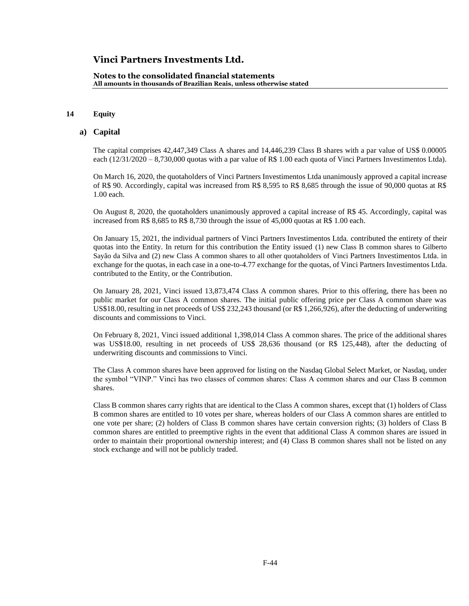#### **Notes to the consolidated financial statements All amounts in thousands of Brazilian Reais, unless otherwise stated**

#### **14 Equity**

#### **a) Capital**

The capital comprises 42,447,349 Class A shares and 14,446,239 Class B shares with a par value of US\$ 0.00005 each  $(12/31/2020 - 8,730,000$  quotas with a par value of R\$ 1.00 each quota of Vinci Partners Investimentos Ltda).

On March 16, 2020, the quotaholders of Vinci Partners Investimentos Ltda unanimously approved a capital increase of R\$ 90. Accordingly, capital was increased from R\$ 8,595 to R\$ 8,685 through the issue of 90,000 quotas at R\$ 1.00 each.

On August 8, 2020, the quotaholders unanimously approved a capital increase of R\$ 45. Accordingly, capital was increased from R\$ 8,685 to R\$ 8,730 through the issue of 45,000 quotas at R\$ 1.00 each.

On January 15, 2021, the individual partners of Vinci Partners Investimentos Ltda. contributed the entirety of their quotas into the Entity. In return for this contribution the Entity issued (1) new Class B common shares to Gilberto Sayão da Silva and (2) new Class A common shares to all other quotaholders of Vinci Partners Investimentos Ltda. in exchange for the quotas, in each case in a one-to-4.77 exchange for the quotas, of Vinci Partners Investimentos Ltda. contributed to the Entity, or the Contribution.

On January 28, 2021, Vinci issued 13,873,474 Class A common shares. Prior to this offering, there has been no public market for our Class A common shares. The initial public offering price per Class A common share was US\$18.00, resulting in net proceeds of US\$ 232,243 thousand (or R\$ 1,266,926), after the deducting of underwriting discounts and commissions to Vinci.

On February 8, 2021, Vinci issued additional 1,398,014 Class A common shares. The price of the additional shares was US\$18.00, resulting in net proceeds of US\$ 28,636 thousand (or R\$ 125,448), after the deducting of underwriting discounts and commissions to Vinci.

The Class A common shares have been approved for listing on the Nasdaq Global Select Market, or Nasdaq, under the symbol "VINP." Vinci has two classes of common shares: Class A common shares and our Class B common shares.

Class B common shares carry rights that are identical to the Class A common shares, except that (1) holders of Class B common shares are entitled to 10 votes per share, whereas holders of our Class A common shares are entitled to one vote per share; (2) holders of Class B common shares have certain conversion rights; (3) holders of Class B common shares are entitled to preemptive rights in the event that additional Class A common shares are issued in order to maintain their proportional ownership interest; and (4) Class B common shares shall not be listed on any stock exchange and will not be publicly traded.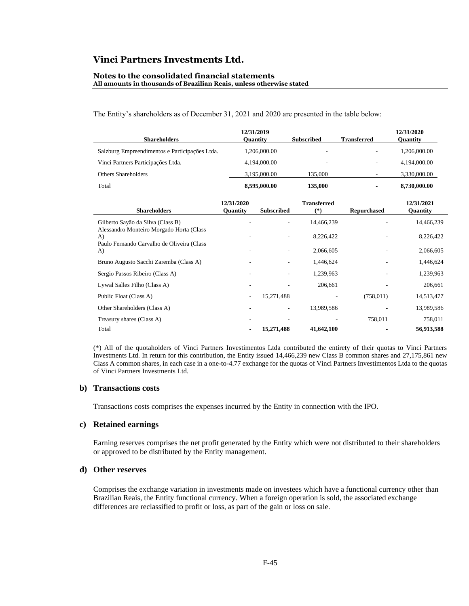#### **Notes to the consolidated financial statements All amounts in thousands of Brazilian Reais, unless otherwise stated**

The Entity's shareholders as of December 31, 2021 and 2020 are presented in the table below:

| <b>Shareholders</b>                              |                               | 12/31/2019<br><b>Quantity</b> | <b>Subscribed</b>           | <b>Transferred</b> | 12/31/2020<br><b>Ouantity</b> |
|--------------------------------------------------|-------------------------------|-------------------------------|-----------------------------|--------------------|-------------------------------|
| Salzburg Empreendimentos e Participações Ltda.   |                               | 1,206,000.00                  |                             |                    | 1,206,000.00                  |
| Vinci Partners Participações Ltda.               |                               | 4,194,000.00                  |                             |                    | 4,194,000.00                  |
| <b>Others Shareholders</b>                       |                               | 3,195,000.00                  | 135,000                     |                    | 3,330,000.00                  |
| Total                                            |                               | 8,595,000.00                  | 135,000                     |                    | 8,730,000.00                  |
| <b>Shareholders</b>                              | 12/31/2020<br><b>Ouantity</b> | <b>Subscribed</b>             | <b>Transferred</b><br>$(*)$ | <b>Repurchased</b> | 12/31/2021<br><b>Ouantity</b> |
| Gilberto Sayão da Silva (Class B)                |                               |                               | 14,466,239                  |                    | 14,466,239                    |
| Alessandro Monteiro Morgado Horta (Class<br>A)   |                               |                               | 8,226,422                   |                    | 8,226,422                     |
| Paulo Fernando Carvalho de Oliveira (Class<br>A) |                               | ٠                             | 2,066,605                   |                    | 2,066,605                     |
| Bruno Augusto Sacchi Zaremba (Class A)           |                               | ٠                             | 1,446,624                   |                    | 1,446,624                     |
| Sergio Passos Ribeiro (Class A)                  |                               |                               | 1,239,963                   |                    | 1,239,963                     |
| Lywal Salles Filho (Class A)                     |                               |                               | 206,661                     |                    | 206,661                       |
| Public Float (Class A)                           |                               | 15,271,488                    |                             | (758, 011)         | 14,513,477                    |
| Other Shareholders (Class A)                     |                               | ٠                             | 13,989,586                  |                    | 13,989,586                    |
| Treasury shares (Class A)                        |                               |                               |                             | 758,011            | 758,011                       |
| Total                                            | $\blacksquare$                | 15,271,488                    | 41,642,100                  |                    | 56,913,588                    |

(\*) All of the quotaholders of Vinci Partners Investimentos Ltda contributed the entirety of their quotas to Vinci Partners Investments Ltd. In return for this contribution, the Entity issued 14,466,239 new Class B common shares and 27,175,861 new Class A common shares, in each case in a one-to-4.77 exchange for the quotas of Vinci Partners Investimentos Ltda to the quotas of Vinci Partners Investments Ltd.

### **b) Transactions costs**

Transactions costs comprises the expenses incurred by the Entity in connection with the IPO.

#### **c) Retained earnings**

Earning reserves comprises the net profit generated by the Entity which were not distributed to their shareholders or approved to be distributed by the Entity management.

### **d) Other reserves**

Comprises the exchange variation in investments made on investees which have a functional currency other than Brazilian Reais, the Entity functional currency. When a foreign operation is sold, the associated exchange differences are reclassified to profit or loss, as part of the gain or loss on sale.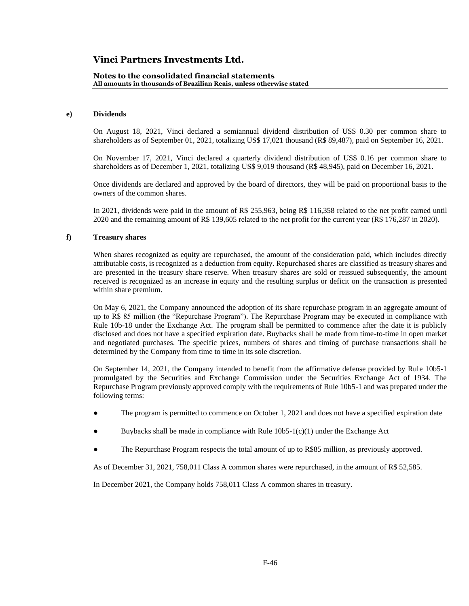#### **Notes to the consolidated financial statements All amounts in thousands of Brazilian Reais, unless otherwise stated**

#### **e) Dividends**

On August 18, 2021, Vinci declared a semiannual dividend distribution of US\$ 0.30 per common share to shareholders as of September 01, 2021, totalizing US\$ 17,021 thousand (R\$ 89,487), paid on September 16, 2021.

On November 17, 2021, Vinci declared a quarterly dividend distribution of US\$ 0.16 per common share to shareholders as of December 1, 2021, totalizing US\$ 9,019 thousand (R\$ 48,945), paid on December 16, 2021.

Once dividends are declared and approved by the board of directors, they will be paid on proportional basis to the owners of the common shares.

In 2021, dividends were paid in the amount of R\$ 255,963, being R\$ 116,358 related to the net profit earned until 2020 and the remaining amount of R\$ 139,605 related to the net profit for the current year (R\$ 176,287 in 2020).

### **f) Treasury shares**

When shares recognized as equity are repurchased, the amount of the consideration paid, which includes directly attributable costs, is recognized as a deduction from equity. Repurchased shares are classified as treasury shares and are presented in the treasury share reserve. When treasury shares are sold or reissued subsequently, the amount received is recognized as an increase in equity and the resulting surplus or deficit on the transaction is presented within share premium.

On May 6, 2021, the Company announced the adoption of its share repurchase program in an aggregate amount of up to R\$ 85 million (the "Repurchase Program"). The Repurchase Program may be executed in compliance with Rule 10b-18 under the Exchange Act. The program shall be permitted to commence after the date it is publicly disclosed and does not have a specified expiration date. Buybacks shall be made from time-to-time in open market and negotiated purchases. The specific prices, numbers of shares and timing of purchase transactions shall be determined by the Company from time to time in its sole discretion.

On September 14, 2021, the Company intended to benefit from the affirmative defense provided by Rule 10b5-1 promulgated by the Securities and Exchange Commission under the Securities Exchange Act of 1934. The Repurchase Program previously approved comply with the requirements of Rule 10b5-1 and was prepared under the following terms:

- The program is permitted to commence on October 1, 2021 and does not have a specified expiration date
- Buybacks shall be made in compliance with Rule  $10b5-1(c)(1)$  under the Exchange Act
- The Repurchase Program respects the total amount of up to R\$85 million, as previously approved.

As of December 31, 2021, 758,011 Class A common shares were repurchased, in the amount of R\$ 52,585.

In December 2021, the Company holds 758,011 Class A common shares in treasury.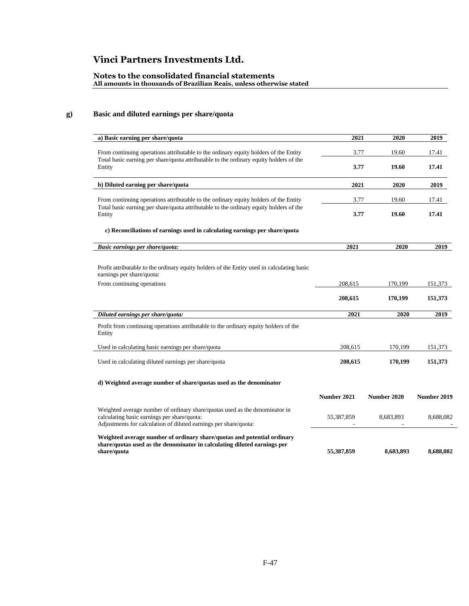### **Notes to the consolidated financial statements All amounts in thousands of Brazilian Reais, unless otherwise stated**

### **g) Basic and diluted earnings per share/quota**

| a) Basic earning per share/quota                                                                                                                                                               | 2021        | 2020        | 2019        |
|------------------------------------------------------------------------------------------------------------------------------------------------------------------------------------------------|-------------|-------------|-------------|
| From continuing operations attributable to the ordinary equity holders of the Entity                                                                                                           | 3.77        | 19.60       | 17.41       |
| Total basic earning per share/quota attributable to the ordinary equity holders of the<br>Entity                                                                                               | 3.77        | 19.60       | 17.41       |
| b) Diluted earning per share/quota                                                                                                                                                             | 2021        | 2020        | 2019        |
| From continuing operations attributable to the ordinary equity holders of the Entity                                                                                                           | 3.77        | 19.60       | 17.41       |
| Total basic earning per share/quota attributable to the ordinary equity holders of the<br>Entity                                                                                               | 3.77        | 19.60       | 17.41       |
| c) Reconciliations of earnings used in calculating earnings per share/quota                                                                                                                    |             |             |             |
| Basic earnings per share/quota:                                                                                                                                                                | 2021        | 2020        | 2019        |
| Profit attributable to the ordinary equity holders of the Entity used in calculating basic<br>earnings per share/quota:                                                                        |             |             |             |
| From continuing operations                                                                                                                                                                     | 208,615     | 170,199     | 151,373     |
|                                                                                                                                                                                                | 208,615     | 170,199     | 151,373     |
| Diluted earnings per share/quota:                                                                                                                                                              | 2021        | 2020        | 2019        |
| Profit from continuing operations attributable to the ordinary equity holders of the<br>Entity                                                                                                 |             |             |             |
| Used in calculating basic earnings per share/quota                                                                                                                                             | 208,615     | 170,199     | 151,373     |
| Used in calculating diluted earnings per share/quota                                                                                                                                           | 208,615     | 170,199     | 151,373     |
| d) Weighted average number of share/quotas used as the denominator                                                                                                                             |             |             |             |
|                                                                                                                                                                                                | Number 2021 | Number 2020 | Number 2019 |
| Weighted average number of ordinary share/quotas used as the denominator in<br>calculating basic earnings per share/quota:<br>Adjustments for calculation of diluted earnings per share/quota: | 55,387,859  | 8,683,893   | 8,688,082   |
| Weighted average number of ordinary share/quotas and potential ordinary<br>share/quotas used as the denominator in calculating diluted earnings per<br>share/quota                             | 55,387,859  | 8,683,893   | 8,688,082   |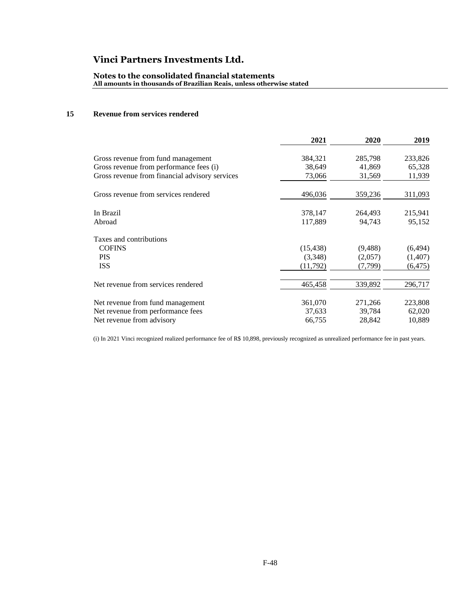### **Notes to the consolidated financial statements All amounts in thousands of Brazilian Reais, unless otherwise stated**

### **15 Revenue from services rendered**

|                                                | 2021      | 2020     | 2019     |
|------------------------------------------------|-----------|----------|----------|
| Gross revenue from fund management             | 384,321   | 285,798  | 233,826  |
| Gross revenue from performance fees (i)        | 38,649    | 41,869   | 65,328   |
| Gross revenue from financial advisory services | 73,066    | 31,569   | 11,939   |
| Gross revenue from services rendered           | 496,036   | 359,236  | 311,093  |
| In Brazil                                      | 378,147   | 264,493  | 215,941  |
| Abroad                                         | 117,889   | 94,743   | 95,152   |
| Taxes and contributions                        |           |          |          |
| <b>COFINS</b>                                  | (15, 438) | (9, 488) | (6, 494) |
| <b>PIS</b>                                     | (3,348)   | (2,057)  | (1,407)  |
| <b>ISS</b>                                     | (11,792)  | (7,799)  | (6, 475) |
| Net revenue from services rendered             | 465,458   | 339,892  | 296,717  |
| Net revenue from fund management               | 361,070   | 271,266  | 223,808  |
| Net revenue from performance fees              | 37,633    | 39,784   | 62,020   |
| Net revenue from advisory                      | 66,755    | 28,842   | 10,889   |

(i) In 2021 Vinci recognized realized performance fee of R\$ 10,898, previously recognized as unrealized performance fee in past years.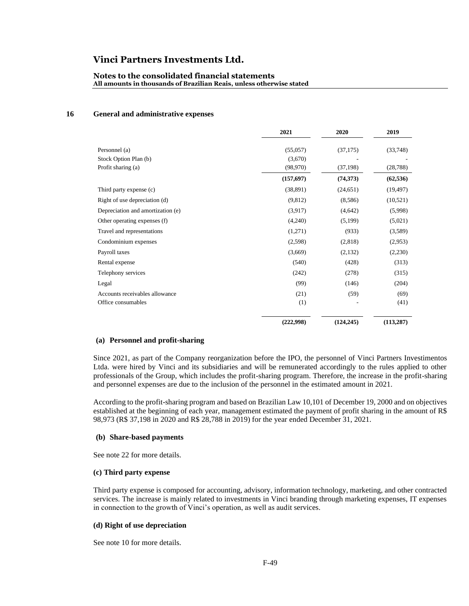#### **Notes to the consolidated financial statements All amounts in thousands of Brazilian Reais, unless otherwise stated**

### **16 General and administrative expenses**

|                                   | 2021       | 2020       | 2019       |
|-----------------------------------|------------|------------|------------|
| Personnel (a)                     | (55,057)   | (37, 175)  | (33,748)   |
| Stock Option Plan (b)             | (3,670)    |            |            |
| Profit sharing (a)                | (98, 970)  | (37, 198)  | (28, 788)  |
|                                   | (157, 697) | (74, 373)  | (62, 536)  |
| Third party expense (c)           | (38, 891)  | (24, 651)  | (19, 497)  |
| Right of use depreciation (d)     | (9,812)    | (8,586)    | (10,521)   |
| Depreciation and amortization (e) | (3,917)    | (4,642)    | (5,998)    |
| Other operating expenses (f)      | (4,240)    | (5,199)    | (5,021)    |
| Travel and representations        | (1,271)    | (933)      | (3,589)    |
| Condominium expenses              | (2,598)    | (2,818)    | (2,953)    |
| Payroll taxes                     | (3,669)    | (2,132)    | (2,230)    |
| Rental expense                    | (540)      | (428)      | (313)      |
| Telephony services                | (242)      | (278)      | (315)      |
| Legal                             | (99)       | (146)      | (204)      |
| Accounts receivables allowance    | (21)       | (59)       | (69)       |
| Office consumables                | (1)        |            | (41)       |
|                                   | (222,998)  | (124, 245) | (113, 287) |

#### **(a) Personnel and profit-sharing**

Since 2021, as part of the Company reorganization before the IPO, the personnel of Vinci Partners Investimentos Ltda. were hired by Vinci and its subsidiaries and will be remunerated accordingly to the rules applied to other professionals of the Group, which includes the profit-sharing program. Therefore, the increase in the profit-sharing and personnel expenses are due to the inclusion of the personnel in the estimated amount in 2021.

According to the profit-sharing program and based on Brazilian Law 10,101 of December 19, 2000 and on objectives established at the beginning of each year, management estimated the payment of profit sharing in the amount of R\$ 98,973 (R\$ 37,198 in 2020 and R\$ 28,788 in 2019) for the year ended December 31, 2021.

#### **(b) Share-based payments**

See note 22 for more details.

#### **(c) Third party expense**

Third party expense is composed for accounting, advisory, information technology, marketing, and other contracted services. The increase is mainly related to investments in Vinci branding through marketing expenses, IT expenses in connection to the growth of Vinci's operation, as well as audit services.

### **(d) Right of use depreciation**

See note 10 for more details.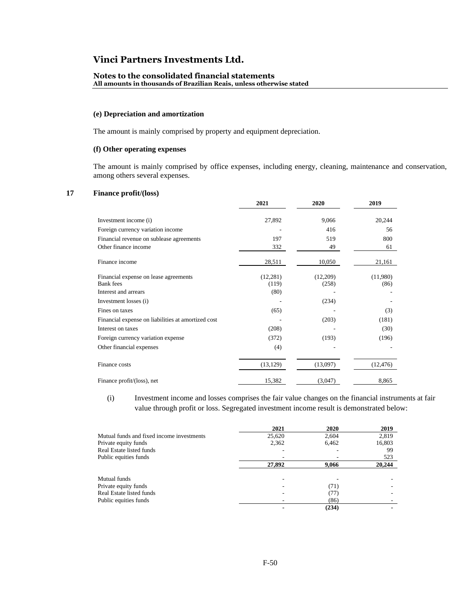#### **Notes to the consolidated financial statements All amounts in thousands of Brazilian Reais, unless otherwise stated**

#### **(e) Depreciation and amortization**

The amount is mainly comprised by property and equipment depreciation.

### **(f) Other operating expenses**

The amount is mainly comprised by office expenses, including energy, cleaning, maintenance and conservation, among others several expenses.

#### **17 Finance profit/(loss)**

|                                                           | 2021               | 2020              | 2019             |
|-----------------------------------------------------------|--------------------|-------------------|------------------|
| Investment income (i)                                     | 27,892             | 9,066             | 20,244           |
| Foreign currency variation income                         |                    | 416               | 56               |
| Financial revenue on sublease agreements                  | 197                | 519               | 800              |
| Other finance income                                      | 332                | 49                | 61               |
| Finance income                                            | 28,511             | 10,050            | 21,161           |
| Financial expense on lease agreements<br><b>Bank</b> fees | (12, 281)<br>(119) | (12,209)<br>(258) | (11,980)<br>(86) |
| Interest and arrears                                      | (80)               |                   |                  |
| Investment losses (i)                                     |                    | (234)             |                  |
| Fines on taxes                                            | (65)               |                   | (3)              |
| Financial expense on liabilities at amortized cost        |                    | (203)             | (181)            |
| Interest on taxes                                         | (208)              |                   | (30)             |
| Foreign currency variation expense                        | (372)              | (193)             | (196)            |
| Other financial expenses                                  | (4)                |                   |                  |
| Finance costs                                             | (13, 129)          | (13,097)          | (12, 476)        |
| Finance profit/(loss), net                                | 15,382             | (3,047)           | 8,865            |

(i) Investment income and losses comprises the fair value changes on the financial instruments at fair value through profit or loss. Segregated investment income result is demonstrated below:

|                                           | 2021   | 2020  | 2019   |
|-------------------------------------------|--------|-------|--------|
| Mutual funds and fixed income investments | 25,620 | 2,604 | 2,819  |
| Private equity funds                      | 2,362  | 6,462 | 16,803 |
| Real Estate listed funds                  |        |       | 99     |
| Public equities funds                     |        |       | 523    |
|                                           | 27,892 | 9,066 | 20,244 |
| Mutual funds                              |        |       |        |
| Private equity funds                      |        | (71)  |        |
| Real Estate listed funds                  |        | (77)  |        |
| Public equities funds                     |        | (86)  |        |
|                                           |        | (234) |        |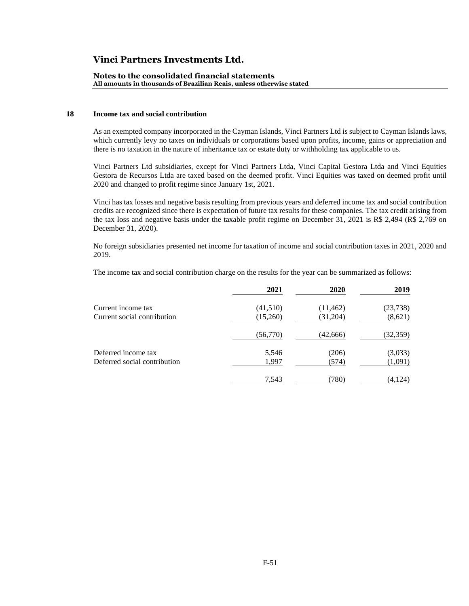#### **Notes to the consolidated financial statements All amounts in thousands of Brazilian Reais, unless otherwise stated**

#### **18 Income tax and social contribution**

As an exempted company incorporated in the Cayman Islands, Vinci Partners Ltd is subject to Cayman Islands laws, which currently levy no taxes on individuals or corporations based upon profits, income, gains or appreciation and there is no taxation in the nature of inheritance tax or estate duty or withholding tax applicable to us.

Vinci Partners Ltd subsidiaries, except for Vinci Partners Ltda, Vinci Capital Gestora Ltda and Vinci Equities Gestora de Recursos Ltda are taxed based on the deemed profit. Vinci Equities was taxed on deemed profit until 2020 and changed to profit regime since January 1st, 2021.

Vinci has tax losses and negative basis resulting from previous years and deferred income tax and social contribution credits are recognized since there is expectation of future tax results for these companies. The tax credit arising from the tax loss and negative basis under the taxable profit regime on December 31, 2021 is R\$ 2,494 (R\$ 2,769 on December 31, 2020).

No foreign subsidiaries presented net income for taxation of income and social contribution taxes in 2021, 2020 and 2019.

The income tax and social contribution charge on the results for the year can be summarized as follows:

|                              | 2021     | 2020      | 2019      |
|------------------------------|----------|-----------|-----------|
| Current income tax           | (41,510) | (11, 462) | (23, 738) |
| Current social contribution  | (15,260) | (31,204)  | (8,621)   |
|                              | (56,770) | (42,666)  | (32,359)  |
| Deferred income tax          | 5,546    | (206)     | (3,033)   |
| Deferred social contribution | 1,997    | (574)     | (1,091)   |
|                              | 7,543    | (780)     | (4,124)   |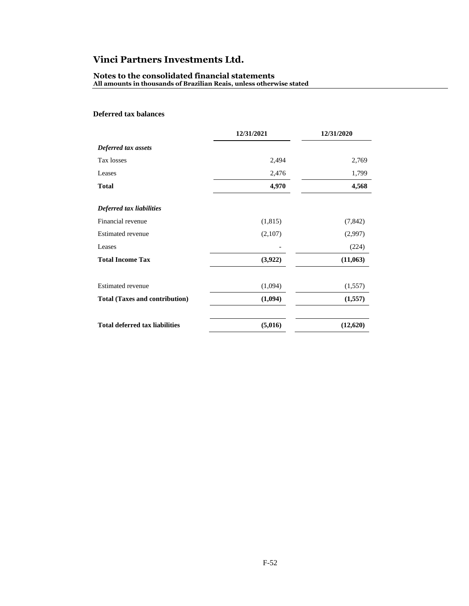### **Notes to the consolidated financial statements All amounts in thousands of Brazilian Reais, unless otherwise stated**

### **Deferred tax balances**

|                                       | 12/31/2021 | 12/31/2020 |
|---------------------------------------|------------|------------|
| Deferred tax assets                   |            |            |
| Tax losses                            | 2,494      | 2,769      |
| Leases                                | 2,476      | 1,799      |
| <b>Total</b>                          | 4,970      | 4,568      |
| Deferred tax liabilities              |            |            |
| Financial revenue                     | (1,815)    | (7, 842)   |
| <b>Estimated revenue</b>              | (2,107)    | (2,997)    |
| Leases                                |            | (224)      |
| <b>Total Income Tax</b>               | (3,922)    | (11,063)   |
| <b>Estimated revenue</b>              | (1,094)    | (1, 557)   |
| <b>Total (Taxes and contribution)</b> | (1,094)    | (1, 557)   |
| <b>Total deferred tax liabilities</b> | (5,016)    | (12,620)   |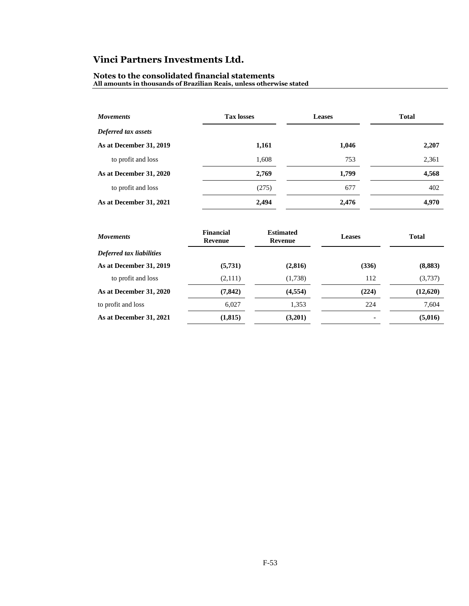#### **Notes to the consolidated financial statements**

**All amounts in thousands of Brazilian Reais, unless otherwise stated**

| <b>Movements</b>        | <b>Tax losses</b> | <b>Leases</b> | <b>Total</b> |
|-------------------------|-------------------|---------------|--------------|
| Deferred tax assets     |                   |               |              |
| As at December 31, 2019 | 1,161             | 1,046         | 2,207        |
| to profit and loss      | 1,608             | 753           | 2,361        |
| As at December 31, 2020 | 2,769             | 1,799         | 4,568        |
| to profit and loss      | (275)             | 677           | 402          |
| As at December 31, 2021 | 2,494             | 2,476         | 4,970        |

| <b>Movements</b>         | <b>Financial</b><br>Revenue | <b>Estimated</b><br>Revenue | <b>Leases</b> | <b>Total</b> |
|--------------------------|-----------------------------|-----------------------------|---------------|--------------|
| Deferred tax liabilities |                             |                             |               |              |
| As at December 31, 2019  | (5,731)                     | (2,816)                     | (336)         | (8,883)      |
| to profit and loss       | (2,111)                     | (1,738)                     | 112           | (3,737)      |
| As at December 31, 2020  | (7, 842)                    | (4, 554)                    | (224)         | (12,620)     |
| to profit and loss       | 6.027                       | 1,353                       | 224           | 7,604        |
| As at December 31, 2021  | (1,815)                     | (3,201)                     |               | (5,016)      |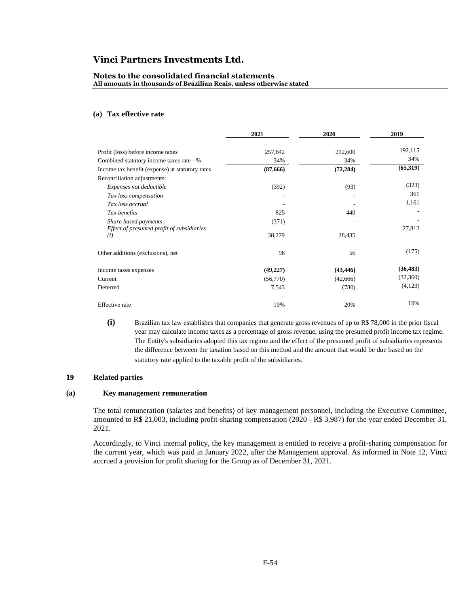#### **Notes to the consolidated financial statements All amounts in thousands of Brazilian Reais, unless otherwise stated**

#### **(a) Tax effective rate**

|                                                                   | 2021      | 2020      | 2019      |
|-------------------------------------------------------------------|-----------|-----------|-----------|
| Profit (loss) before income taxes                                 | 257,842   | 212,600   | 192,115   |
| Combined statutory income taxes rate - %                          | 34%       | 34%       | 34%       |
| Income tax benefit (expense) at statutory rates                   | (87, 666) | (72, 284) | (65,319)  |
| Reconciliation adjustments:                                       |           |           |           |
| Expenses not deductible                                           | (392)     | (93)      | (323)     |
| Tax loss compensation                                             |           |           | 361       |
| Tax loss accrual                                                  |           |           | 1,161     |
| Tax benefits                                                      | 825       | 440       |           |
| Share based payments<br>Effect of presumed profit of subsidiaries | (371)     |           | 27,812    |
| (i)                                                               | 38,279    | 28,435    |           |
| Other additions (exclusions), net                                 | 98        | 56        | (175)     |
| Income taxes expenses                                             | (49, 227) | (43, 446) | (36, 483) |
| Current                                                           | (56,770)  | (42,666)  | (32,360)  |
| Deferred                                                          | 7,543     | (780)     | (4,123)   |
| Effective rate                                                    | 19%       | 20%       | 19%       |

**(i)** Brazilian tax law establishes that companies that generate gross revenues of up to R\$ 78,000 in the prior fiscal year may calculate income taxes as a percentage of gross revenue, using the presumed profit income tax regime. The Entity's subsidiaries adopted this tax regime and the effect of the presumed profit of subsidiaries represents the difference between the taxation based on this method and the amount that would be due based on the statutory rate applied to the taxable profit of the subsidiaries.

#### **19 Related parties**

#### **(a) Key management remuneration**

The total remuneration (salaries and benefits) of key management personnel, including the Executive Committee, amounted to R\$ 21,003, including profit-sharing compensation (2020 - R\$ 3,987) for the year ended December 31, 2021.

Accordingly, to Vinci internal policy, the key management is entitled to receive a profit-sharing compensation for the current year, which was paid in January 2022, after the Management approval. As informed in Note 12, Vinci accrued a provision for profit sharing for the Group as of December 31, 2021.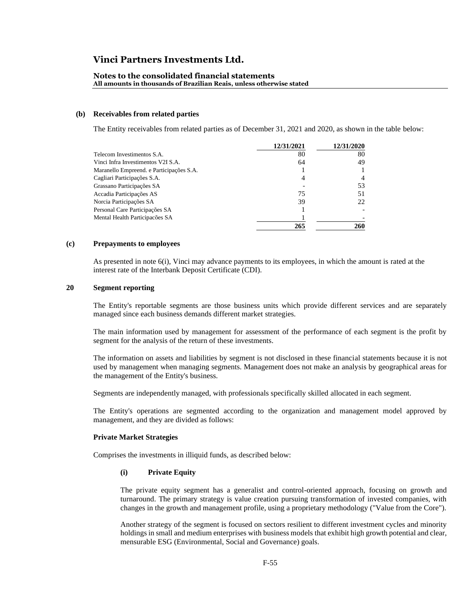#### **Notes to the consolidated financial statements All amounts in thousands of Brazilian Reais, unless otherwise stated**

#### **(b) Receivables from related parties**

The Entity receivables from related parties as of December 31, 2021 and 2020, as shown in the table below:

|                                          | 12/31/2021 | 12/31/2020 |
|------------------------------------------|------------|------------|
| Telecom Investimentos S.A.               | 80         | 80         |
| Vinci Infra Investimentos V2I S.A.       | 64         | 49         |
| Maranello Empreend. e Participações S.A. |            |            |
| Cagliari Participações S.A.              | 4          |            |
| Grassano Participações SA                |            | 53         |
| Accadia Participações AS                 | 75         | 51         |
| Norcia Participações SA                  | 39         | 22         |
| Personal Care Participações SA           |            |            |
| Mental Health Participações SA           |            |            |
|                                          | 265        | 260        |

#### **(c) Prepayments to employees**

As presented in note 6(i), Vinci may advance payments to its employees, in which the amount is rated at the interest rate of the Interbank Deposit Certificate (CDI).

#### **20 Segment reporting**

The Entity's reportable segments are those business units which provide different services and are separately managed since each business demands different market strategies.

The main information used by management for assessment of the performance of each segment is the profit by segment for the analysis of the return of these investments.

The information on assets and liabilities by segment is not disclosed in these financial statements because it is not used by management when managing segments. Management does not make an analysis by geographical areas for the management of the Entity's business.

Segments are independently managed, with professionals specifically skilled allocated in each segment.

The Entity's operations are segmented according to the organization and management model approved by management, and they are divided as follows:

#### **Private Market Strategies**

Comprises the investments in illiquid funds, as described below:

#### **(i) Private Equity**

The private equity segment has a generalist and control-oriented approach, focusing on growth and turnaround. The primary strategy is value creation pursuing transformation of invested companies, with changes in the growth and management profile, using a proprietary methodology ("Value from the Core").

Another strategy of the segment is focused on sectors resilient to different investment cycles and minority holdings in small and medium enterprises with business models that exhibit high growth potential and clear, mensurable ESG (Environmental, Social and Governance) goals.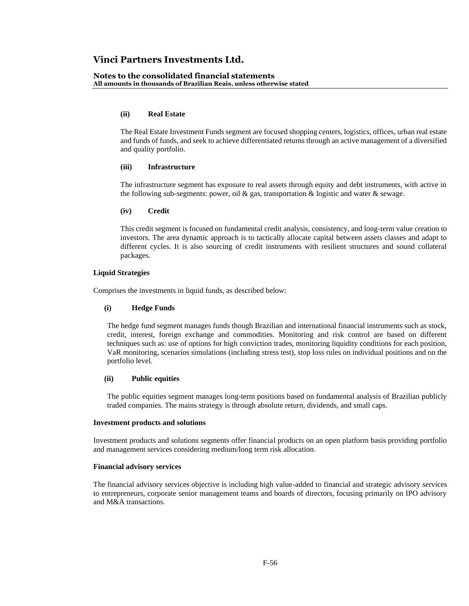#### **Notes to the consolidated financial statements All amounts in thousands of Brazilian Reais, unless otherwise stated**

#### **(ii) Real Estate**

The Real Estate Investment Funds segment are focused shopping centers, logistics, offices, urban real estate and funds of funds, and seek to achieve differentiated returns through an active management of a diversified and quality portfolio.

#### **(iii) Infrastructure**

The infrastructure segment has exposure to real assets through equity and debt instruments, with active in the following sub-segments: power, oil  $\&$  gas, transportation  $\&$  logistic and water  $\&$  sewage.

#### **(iv) Credit**

This credit segment is focused on fundamental credit analysis, consistency, and long-term value creation to investors. The area dynamic approach is to tactically allocate capital between assets classes and adapt to different cycles. It is also sourcing of credit instruments with resilient structures and sound collateral packages.

#### **Liquid Strategies**

Comprises the investments in liquid funds, as described below:

#### **(i) Hedge Funds**

The hedge fund segment manages funds though Brazilian and international financial instruments such as stock, credit, interest, foreign exchange and commodities. Monitoring and risk control are based on different techniques such as: use of options for high conviction trades, monitoring liquidity conditions for each position, VaR monitoring, scenarios simulations (including stress test), stop loss rules on individual positions and on the portfolio level.

### **(ii) Public equities**

The public equities segment manages long-term positions based on fundamental analysis of Brazilian publicly traded companies. The mains strategy is through absolute return, dividends, and small caps.

### **Investment products and solutions**

Investment products and solutions segments offer financial products on an open platform basis providing portfolio and management services considering medium/long term risk allocation.

#### **Financial advisory services**

The financial advisory services objective is including high value-added to financial and strategic advisory services to entrepreneurs, corporate senior management teams and boards of directors, focusing primarily on IPO advisory and M&A transactions.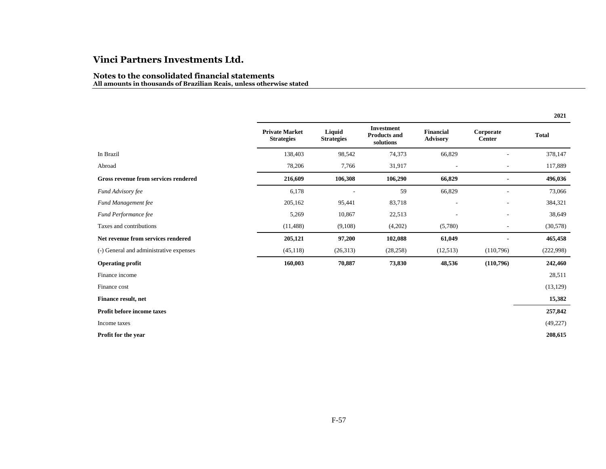|                                         |                                            |                             |                                                       |                                     |                            | 2021         |
|-----------------------------------------|--------------------------------------------|-----------------------------|-------------------------------------------------------|-------------------------------------|----------------------------|--------------|
|                                         | <b>Private Market</b><br><b>Strategies</b> | Liquid<br><b>Strategies</b> | <b>Investment</b><br><b>Products and</b><br>solutions | <b>Financial</b><br><b>Advisory</b> | Corporate<br><b>Center</b> | <b>Total</b> |
| In Brazil                               | 138,403                                    | 98,542                      | 74,373                                                | 66,829                              |                            | 378,147      |
| Abroad                                  | 78,206                                     | 7,766                       | 31,917                                                |                                     | $\overline{\phantom{a}}$   | 117,889      |
| Gross revenue from services rendered    | 216,609                                    | 106,308                     | 106,290                                               | 66,829                              |                            | 496,036      |
| Fund Advisory fee                       | 6,178                                      |                             | 59                                                    | 66,829                              |                            | 73,066       |
| Fund Management fee                     | 205,162                                    | 95,441                      | 83,718                                                | $\overline{\phantom{a}}$            | $\overline{a}$             | 384,321      |
| Fund Performance fee                    | 5,269                                      | 10,867                      | 22,513                                                |                                     | ٠                          | 38,649       |
| Taxes and contributions                 | (11, 488)                                  | (9,108)                     | (4,202)                                               | (5,780)                             | $\overline{a}$             | (30,578)     |
| Net revenue from services rendered      | 205,121                                    | 97,200                      | 102,088                                               | 61,049                              |                            | 465,458      |
| (-) General and administrative expenses | (45, 118)                                  | (26,313)                    | (28, 258)                                             | (12,513)                            | (110,796)                  | (222,998)    |
| <b>Operating profit</b>                 | 160,003                                    | 70,887                      | 73,830                                                | 48,536                              | (110,796)                  | 242,460      |
| Finance income                          |                                            |                             |                                                       |                                     |                            | 28,511       |
| Finance cost                            |                                            |                             |                                                       |                                     |                            | (13, 129)    |
| Finance result, net                     |                                            |                             |                                                       |                                     |                            | 15,382       |
| Profit before income taxes              |                                            |                             |                                                       |                                     |                            | 257,842      |
| Income taxes                            |                                            |                             |                                                       |                                     |                            | (49, 227)    |
| Profit for the year                     |                                            |                             |                                                       |                                     |                            | 208,615      |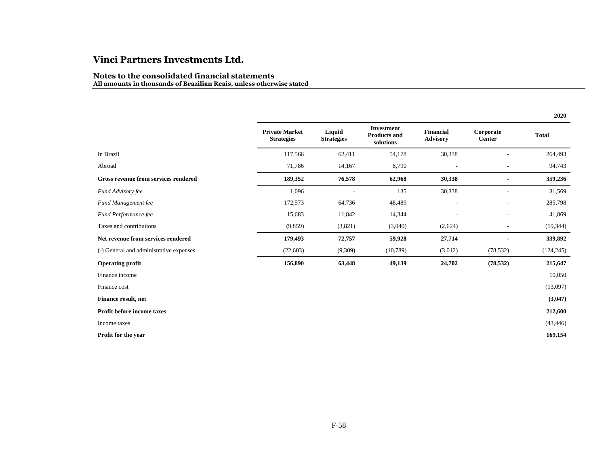|                                         |                                            |                             |                                                       |                                     |                            | 2020         |
|-----------------------------------------|--------------------------------------------|-----------------------------|-------------------------------------------------------|-------------------------------------|----------------------------|--------------|
|                                         | <b>Private Market</b><br><b>Strategies</b> | Liquid<br><b>Strategies</b> | <b>Investment</b><br><b>Products and</b><br>solutions | <b>Financial</b><br><b>Advisory</b> | Corporate<br><b>Center</b> | <b>Total</b> |
| In Brazil                               | 117,566                                    | 62,411                      | 54,178                                                | 30,338                              |                            | 264,493      |
| Abroad                                  | 71,786                                     | 14,167                      | 8,790                                                 |                                     | $\overline{\phantom{a}}$   | 94,743       |
| Gross revenue from services rendered    | 189,352                                    | 76,578                      | 62,968                                                | 30,338                              |                            | 359,236      |
| Fund Advisory fee                       | 1,096                                      |                             | 135                                                   | 30,338                              |                            | 31,569       |
| Fund Management fee                     | 172,573                                    | 64,736                      | 48,489                                                |                                     | ٠                          | 285,798      |
| Fund Performance fee                    | 15,683                                     | 11,842                      | 14,344                                                |                                     | ٠                          | 41,869       |
| Taxes and contributions                 | (9,859)                                    | (3,821)                     | (3,040)                                               | (2,624)                             | $\overline{a}$             | (19, 344)    |
| Net revenue from services rendered      | 179,493                                    | 72,757                      | 59,928                                                | 27,714                              |                            | 339,892      |
| (-) General and administrative expenses | (22,603)                                   | (9,309)                     | (10,789)                                              | (3,012)                             | (78, 532)                  | (124, 245)   |
| <b>Operating profit</b>                 | 156,890                                    | 63,448                      | 49,139                                                | 24,702                              | (78, 532)                  | 215,647      |
| Finance income                          |                                            |                             |                                                       |                                     |                            | 10,050       |
| Finance cost                            |                                            |                             |                                                       |                                     |                            | (13,097)     |
| Finance result, net                     |                                            |                             |                                                       |                                     |                            | (3,047)      |
| <b>Profit before income taxes</b>       |                                            |                             |                                                       |                                     |                            | 212,600      |
| Income taxes                            |                                            |                             |                                                       |                                     |                            | (43, 446)    |
| Profit for the year                     |                                            |                             |                                                       |                                     |                            | 169,154      |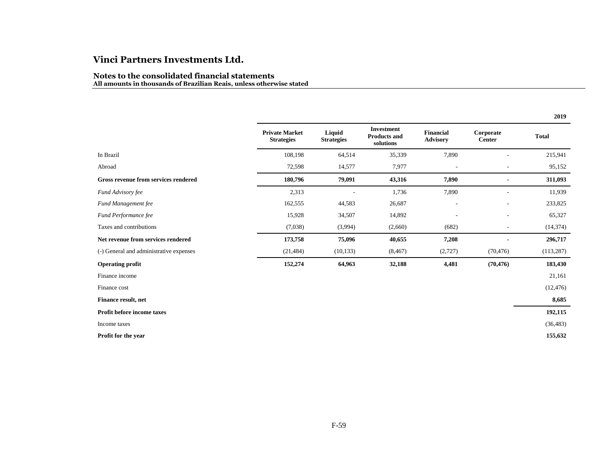|                                         |                                            |                             |                                                       |                                     |                            | 2019         |
|-----------------------------------------|--------------------------------------------|-----------------------------|-------------------------------------------------------|-------------------------------------|----------------------------|--------------|
|                                         | <b>Private Market</b><br><b>Strategies</b> | Liquid<br><b>Strategies</b> | <b>Investment</b><br><b>Products and</b><br>solutions | <b>Financial</b><br><b>Advisory</b> | Corporate<br><b>Center</b> | <b>Total</b> |
| In Brazil                               | 108,198                                    | 64,514                      | 35,339                                                | 7,890                               |                            | 215,941      |
| Abroad                                  | 72,598                                     | 14,577                      | 7,977                                                 | $\overline{\phantom{a}}$            | $\overline{\phantom{m}}$   | 95,152       |
| Gross revenue from services rendered    | 180,796                                    | 79,091                      | 43,316                                                | 7,890                               |                            | 311,093      |
| Fund Advisory fee                       | 2,313                                      |                             | 1,736                                                 | 7,890                               | $\overline{a}$             | 11,939       |
| Fund Management fee                     | 162,555                                    | 44,583                      | 26,687                                                | $\overline{\phantom{a}}$            | ٠                          | 233,825      |
| Fund Performance fee                    | 15,928                                     | 34,507                      | 14,892                                                | $\overline{a}$                      | ٠                          | 65,327       |
| Taxes and contributions                 | (7,038)                                    | (3,994)                     | (2,660)                                               | (682)                               | $\overline{\phantom{a}}$   | (14, 374)    |
| Net revenue from services rendered      | 173,758                                    | 75,096                      | 40,655                                                | 7,208                               | ÷                          | 296,717      |
| (-) General and administrative expenses | (21, 484)                                  | (10, 133)                   | (8, 467)                                              | (2,727)                             | (70, 476)                  | (113, 287)   |
| <b>Operating profit</b>                 | 152,274                                    | 64,963                      | 32,188                                                | 4,481                               | (70, 476)                  | 183,430      |
| Finance income                          |                                            |                             |                                                       |                                     |                            | 21,161       |
| Finance cost                            |                                            |                             |                                                       |                                     |                            | (12, 476)    |
| Finance result, net                     |                                            |                             |                                                       |                                     |                            | 8,685        |
| <b>Profit before income taxes</b>       |                                            |                             |                                                       |                                     |                            | 192,115      |
| Income taxes                            |                                            |                             |                                                       |                                     |                            | (36, 483)    |
| Profit for the year                     |                                            |                             |                                                       |                                     |                            | 155,632      |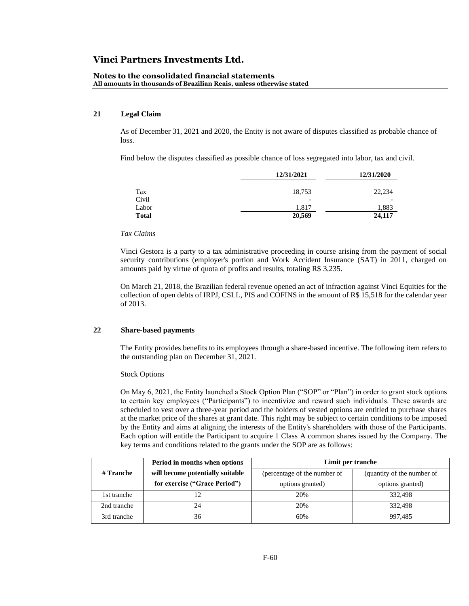#### **Notes to the consolidated financial statements All amounts in thousands of Brazilian Reais, unless otherwise stated**

### **21 Legal Claim**

As of December 31, 2021 and 2020, the Entity is not aware of disputes classified as probable chance of loss.

Find below the disputes classified as possible chance of loss segregated into labor, tax and civil.

|              | 12/31/2021               | 12/31/2020 |
|--------------|--------------------------|------------|
| Tax          | 18,753                   | 22,234     |
| Civil        | $\overline{\phantom{0}}$ |            |
| Labor        | 1,817                    | 1,883      |
| <b>Total</b> | 20,569                   | 24,117     |

#### *Tax Claims*

Vinci Gestora is a party to a tax administrative proceeding in course arising from the payment of social security contributions (employer's portion and Work Accident Insurance (SAT) in 2011, charged on amounts paid by virtue of quota of profits and results, totaling R\$ 3,235.

On March 21, 2018, the Brazilian federal revenue opened an act of infraction against Vinci Equities for the collection of open debts of IRPJ, CSLL, PIS and COFINS in the amount of R\$ 15,518 for the calendar year of 2013.

#### **22 Share-based payments**

The Entity provides benefits to its employees through a share-based incentive. The following item refers to the outstanding plan on December 31, 2021.

### Stock Options

On May 6, 2021, the Entity launched a Stock Option Plan ("SOP" or "Plan") in order to grant stock options to certain key employees ("Participants") to incentivize and reward such individuals. These awards are scheduled to vest over a three-year period and the holders of vested options are entitled to purchase shares at the market price of the shares at grant date. This right may be subject to certain conditions to be imposed by the Entity and aims at aligning the interests of the Entity's shareholders with those of the Participants. Each option will entitle the Participant to acquire 1 Class A common shares issued by the Company. The key terms and conditions related to the grants under the SOP are as follows:

|             | Period in months when options    | Limit per tranche            |                            |  |
|-------------|----------------------------------|------------------------------|----------------------------|--|
| # Tranche   | will become potentially suitable | (percentage of the number of | (quantity of the number of |  |
|             | for exercise ("Grace Period")    | options granted)             | options granted)           |  |
| 1st tranche | 12                               | 20%                          | 332,498                    |  |
| 2nd tranche | 24                               | 20%                          | 332,498                    |  |
| 3rd tranche | 36                               | 60%                          | 997.485                    |  |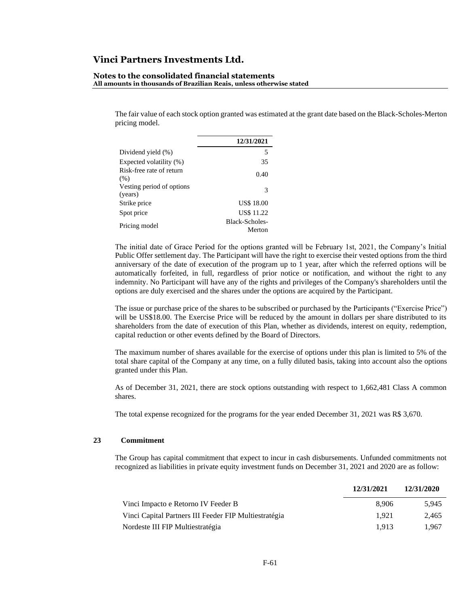#### **Notes to the consolidated financial statements All amounts in thousands of Brazilian Reais, unless otherwise stated**

The fair value of each stock option granted was estimated at the grant date based on the Black-Scholes-Merton pricing model.

|                                      | 12/31/2021               |
|--------------------------------------|--------------------------|
| Dividend yield (%)                   | 5                        |
| Expected volatility (%)              | 35                       |
| Risk-free rate of return<br>(% )     | 0.40                     |
| Vesting period of options<br>(years) | 3                        |
| Strike price                         | <b>US\$ 18.00</b>        |
| Spot price                           | <b>US\$</b> 11.22        |
| Pricing model                        | Black-Scholes-<br>Merton |

The initial date of Grace Period for the options granted will be February 1st, 2021, the Company's Initial Public Offer settlement day. The Participant will have the right to exercise their vested options from the third anniversary of the date of execution of the program up to 1 year, after which the referred options will be automatically forfeited, in full, regardless of prior notice or notification, and without the right to any indemnity. No Participant will have any of the rights and privileges of the Company's shareholders until the options are duly exercised and the shares under the options are acquired by the Participant.

The issue or purchase price of the shares to be subscribed or purchased by the Participants ("Exercise Price") will be US\$18.00. The Exercise Price will be reduced by the amount in dollars per share distributed to its shareholders from the date of execution of this Plan, whether as dividends, interest on equity, redemption, capital reduction or other events defined by the Board of Directors.

The maximum number of shares available for the exercise of options under this plan is limited to 5% of the total share capital of the Company at any time, on a fully diluted basis, taking into account also the options granted under this Plan.

As of December 31, 2021, there are stock options outstanding with respect to 1,662,481 Class A common shares.

The total expense recognized for the programs for the year ended December 31, 2021 was R\$ 3,670.

#### **23 Commitment**

The Group has capital commitment that expect to incur in cash disbursements. Unfunded commitments not recognized as liabilities in private equity investment funds on December 31, 2021 and 2020 are as follow:

|                                                       | 12/31/2021 | 12/31/2020 |
|-------------------------------------------------------|------------|------------|
| Vinci Impacto e Retorno IV Feeder B                   | 8.906      | 5.945      |
| Vinci Capital Partners III Feeder FIP Multiestratégia | 1.921      | 2.465      |
| Nordeste III FIP Multiestratégia                      | 1.913      | 1.967      |